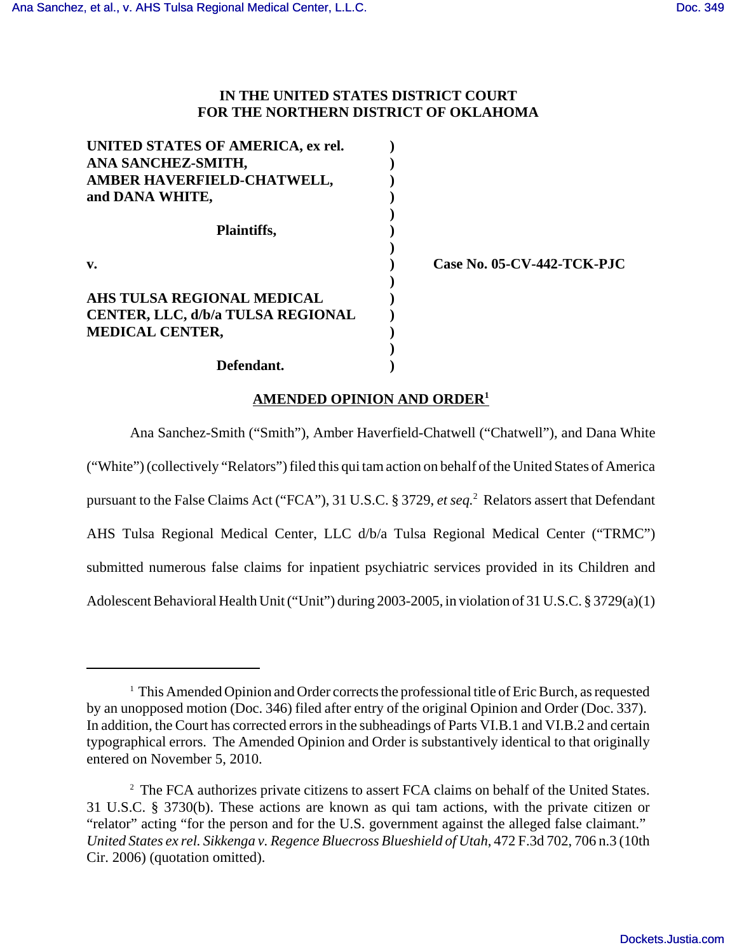# **IN THE UNITED STATES DISTRICT COURT FOR THE NORTHERN DISTRICT OF OKLAHOMA**

| UNITED STATES OF AMERICA, ex rel.        |  |
|------------------------------------------|--|
| ANA SANCHEZ-SMITH,                       |  |
| AMBER HAVERFIELD-CHATWELL,               |  |
| and DANA WHITE,                          |  |
|                                          |  |
| Plaintiffs,                              |  |
|                                          |  |
| $\mathbf{v}$ .                           |  |
|                                          |  |
| AHS TULSA REGIONAL MEDICAL               |  |
| <b>CENTER, LLC, d/b/a TULSA REGIONAL</b> |  |
| MEDICAL CENTER,                          |  |
|                                          |  |
| Defendant.                               |  |

**v. ) Case No. 05-CV-442-TCK-PJC**

# **AMENDED OPINION AND ORDER<sup>1</sup>**

Ana Sanchez-Smith ("Smith"), Amber Haverfield-Chatwell ("Chatwell"), and Dana White ("White") (collectively "Relators") filed this qui tam action on behalf of the United States of America pursuant to the False Claims Act ("FCA"), 31 U.S.C. § 3729, *et seq.*<sup>2</sup> Relators assert that Defendant AHS Tulsa Regional Medical Center, LLC d/b/a Tulsa Regional Medical Center ("TRMC") submitted numerous false claims for inpatient psychiatric services provided in its Children and Adolescent Behavioral Health Unit ("Unit") during 2003-2005, in violation of 31 U.S.C. § 3729(a)(1)

<sup>&</sup>lt;sup>1</sup> This Amended Opinion and Order corrects the professional title of Eric Burch, as requested by an unopposed motion (Doc. 346) filed after entry of the original Opinion and Order (Doc. 337). In addition, the Court has corrected errors in the subheadings of Parts VI.B.1 and VI.B.2 and certain typographical errors. The Amended Opinion and Order is substantively identical to that originally entered on November 5, 2010.

<sup>&</sup>lt;sup>2</sup> The FCA authorizes private citizens to assert FCA claims on behalf of the United States. 31 U.S.C. § 3730(b). These actions are known as qui tam actions, with the private citizen or "relator" acting "for the person and for the U.S. government against the alleged false claimant." *United States ex rel. Sikkenga v. Regence Bluecross Blueshield of Utah*, 472 F.3d 702, 706 n.3 (10th Cir. 2006) (quotation omitted).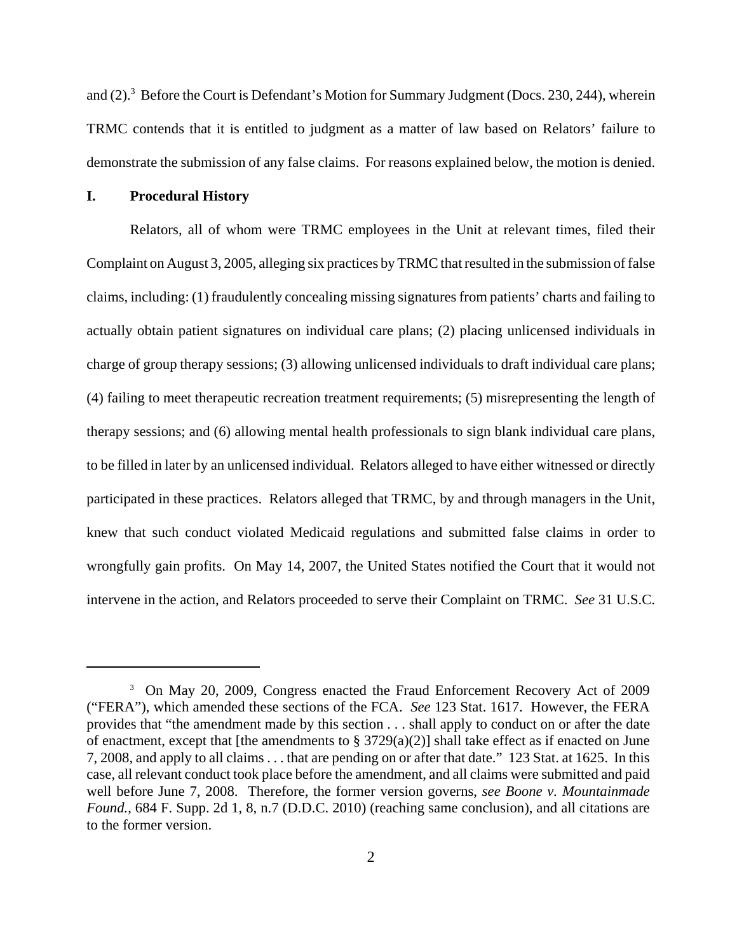and (2).<sup>3</sup> Before the Court is Defendant's Motion for Summary Judgment (Docs. 230, 244), wherein TRMC contends that it is entitled to judgment as a matter of law based on Relators' failure to demonstrate the submission of any false claims. For reasons explained below, the motion is denied.

#### **I. Procedural History**

Relators, all of whom were TRMC employees in the Unit at relevant times, filed their Complaint on August 3, 2005, alleging six practices by TRMC that resulted in the submission of false claims, including: (1) fraudulently concealing missing signatures from patients' charts and failing to actually obtain patient signatures on individual care plans; (2) placing unlicensed individuals in charge of group therapy sessions; (3) allowing unlicensed individuals to draft individual care plans; (4) failing to meet therapeutic recreation treatment requirements; (5) misrepresenting the length of therapy sessions; and (6) allowing mental health professionals to sign blank individual care plans, to be filled in later by an unlicensed individual. Relators alleged to have either witnessed or directly participated in these practices. Relators alleged that TRMC, by and through managers in the Unit, knew that such conduct violated Medicaid regulations and submitted false claims in order to wrongfully gain profits. On May 14, 2007, the United States notified the Court that it would not intervene in the action, and Relators proceeded to serve their Complaint on TRMC. *See* 31 U.S.C.

<sup>&</sup>lt;sup>3</sup> On May 20, 2009, Congress enacted the Fraud Enforcement Recovery Act of 2009 ("FERA"), which amended these sections of the FCA. *See* 123 Stat. 1617. However, the FERA provides that "the amendment made by this section . . . shall apply to conduct on or after the date of enactment, except that [the amendments to  $\S 3729(a)(2)$ ] shall take effect as if enacted on June 7, 2008, and apply to all claims . . . that are pending on or after that date." 123 Stat. at 1625. In this case, all relevant conduct took place before the amendment, and all claims were submitted and paid well before June 7, 2008. Therefore, the former version governs, *see Boone v. Mountainmade Found.*, 684 F. Supp. 2d 1, 8, n.7 (D.D.C. 2010) (reaching same conclusion), and all citations are to the former version.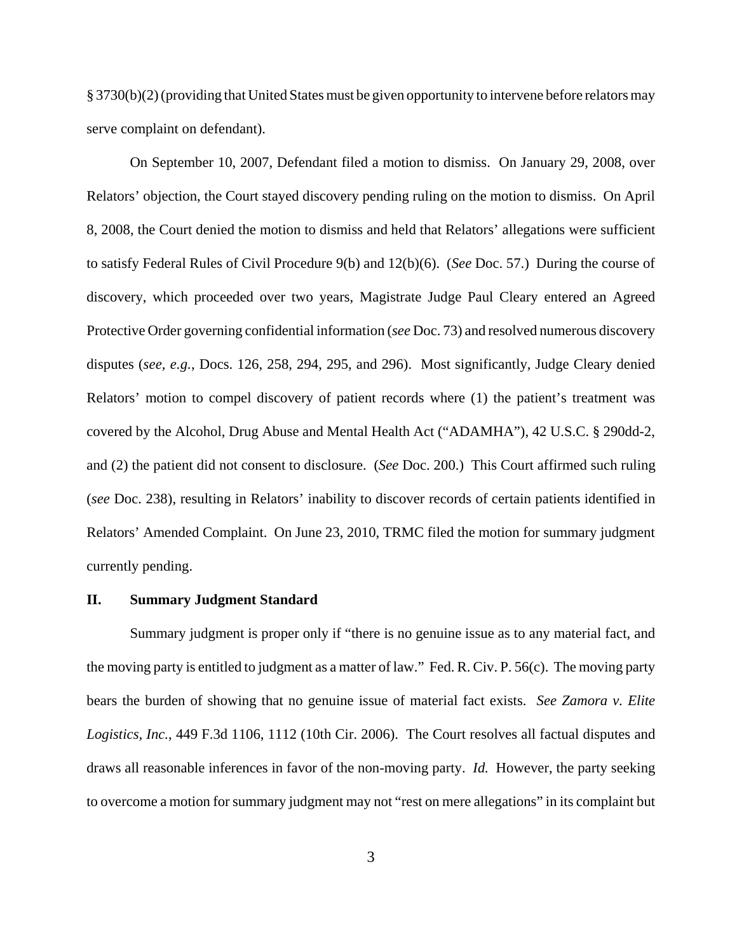§ 3730(b)(2) (providing that United States must be given opportunity to intervene before relators may serve complaint on defendant).

On September 10, 2007, Defendant filed a motion to dismiss. On January 29, 2008, over Relators' objection, the Court stayed discovery pending ruling on the motion to dismiss. On April 8, 2008, the Court denied the motion to dismiss and held that Relators' allegations were sufficient to satisfy Federal Rules of Civil Procedure 9(b) and 12(b)(6). (*See* Doc. 57.) During the course of discovery, which proceeded over two years, Magistrate Judge Paul Cleary entered an Agreed Protective Order governing confidential information (*see* Doc. 73) and resolved numerous discovery disputes (*see, e.g.*, Docs. 126, 258, 294, 295, and 296). Most significantly, Judge Cleary denied Relators' motion to compel discovery of patient records where (1) the patient's treatment was covered by the Alcohol, Drug Abuse and Mental Health Act ("ADAMHA"), 42 U.S.C. § 290dd-2, and (2) the patient did not consent to disclosure. (*See* Doc. 200.) This Court affirmed such ruling (*see* Doc. 238), resulting in Relators' inability to discover records of certain patients identified in Relators' Amended Complaint. On June 23, 2010, TRMC filed the motion for summary judgment currently pending.

#### **II. Summary Judgment Standard**

Summary judgment is proper only if "there is no genuine issue as to any material fact, and the moving party is entitled to judgment as a matter of law." Fed. R. Civ. P. 56(c). The moving party bears the burden of showing that no genuine issue of material fact exists. *See Zamora v. Elite Logistics, Inc.*, 449 F.3d 1106, 1112 (10th Cir. 2006). The Court resolves all factual disputes and draws all reasonable inferences in favor of the non-moving party. *Id.* However, the party seeking to overcome a motion forsummary judgment may not "rest on mere allegations" in its complaint but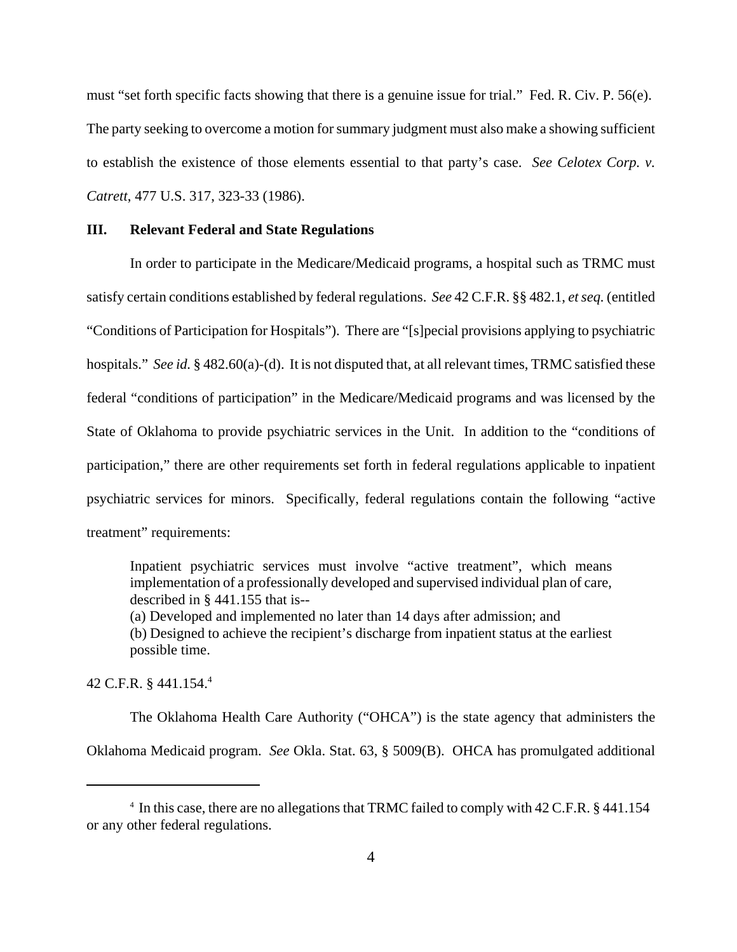must "set forth specific facts showing that there is a genuine issue for trial." Fed. R. Civ. P. 56(e). The party seeking to overcome a motion for summary judgment must also make a showing sufficient to establish the existence of those elements essential to that party's case. *See Celotex Corp. v. Catrett*, 477 U.S. 317, 323-33 (1986).

#### **III. Relevant Federal and State Regulations**

In order to participate in the Medicare/Medicaid programs, a hospital such as TRMC must satisfy certain conditions established by federal regulations. *See* 42 C.F.R. §§ 482.1, *et seq.* (entitled "Conditions of Participation for Hospitals"). There are "[s]pecial provisions applying to psychiatric hospitals." *See id.* § 482.60(a)-(d). It is not disputed that, at all relevant times, TRMC satisfied these federal "conditions of participation" in the Medicare/Medicaid programs and was licensed by the State of Oklahoma to provide psychiatric services in the Unit. In addition to the "conditions of participation," there are other requirements set forth in federal regulations applicable to inpatient psychiatric services for minors. Specifically, federal regulations contain the following "active treatment" requirements:

Inpatient psychiatric services must involve "active treatment", which means implementation of a professionally developed and supervised individual plan of care, described in § 441.155 that is--

(a) Developed and implemented no later than 14 days after admission; and (b) Designed to achieve the recipient's discharge from inpatient status at the earliest possible time.

42 C.F.R. § 441.154.<sup>4</sup>

The Oklahoma Health Care Authority ("OHCA") is the state agency that administers the Oklahoma Medicaid program. *See* Okla. Stat. 63, § 5009(B). OHCA has promulgated additional

<sup>&</sup>lt;sup>4</sup> In this case, there are no allegations that TRMC failed to comply with 42 C.F.R. § 441.154 or any other federal regulations.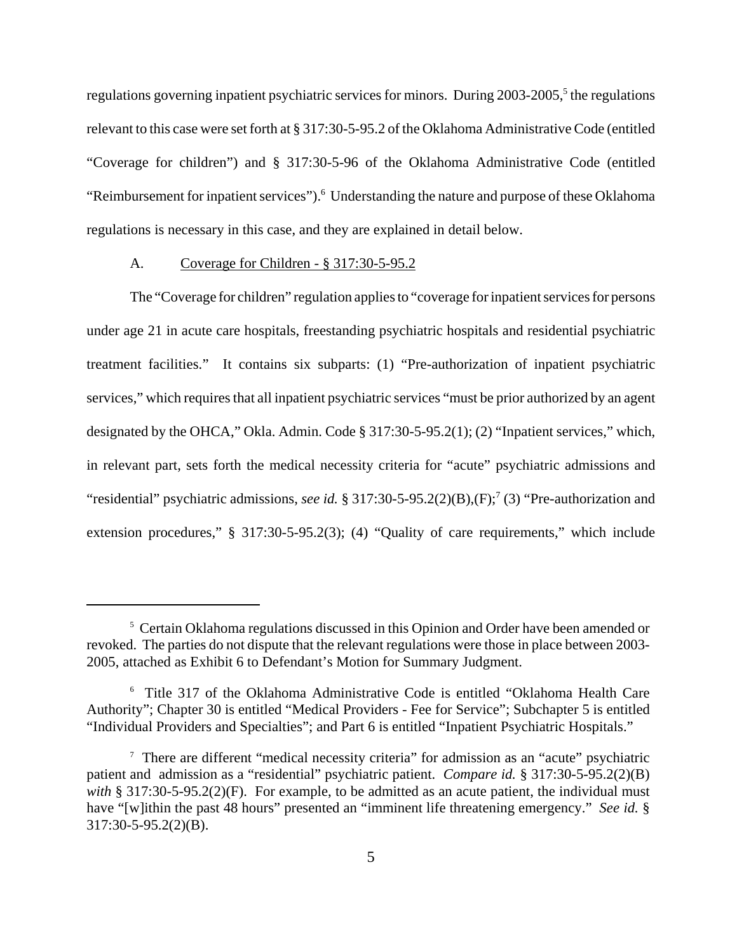regulations governing inpatient psychiatric services for minors. During 2003-2005,<sup>5</sup> the regulations relevant to this case were set forth at § 317:30-5-95.2 of the Oklahoma Administrative Code (entitled "Coverage for children") and § 317:30-5-96 of the Oklahoma Administrative Code (entitled "Reimbursement for inpatient services").<sup>6</sup> Understanding the nature and purpose of these Oklahoma regulations is necessary in this case, and they are explained in detail below.

### A. Coverage for Children - § 317:30-5-95.2

The "Coverage for children" regulation applies to "coverage for inpatient services for persons under age 21 in acute care hospitals, freestanding psychiatric hospitals and residential psychiatric treatment facilities." It contains six subparts: (1) "Pre-authorization of inpatient psychiatric services," which requires that all inpatient psychiatric services "must be prior authorized by an agent designated by the OHCA," Okla. Admin. Code § 317:30-5-95.2(1); (2) "Inpatient services," which, in relevant part, sets forth the medical necessity criteria for "acute" psychiatric admissions and "residential" psychiatric admissions, *see id.* § 317:30-5-95.2(2)(B),(F);<sup>7</sup> (3) "Pre-authorization and extension procedures," § 317:30-5-95.2(3); (4) "Quality of care requirements," which include

<sup>&</sup>lt;sup>5</sup> Certain Oklahoma regulations discussed in this Opinion and Order have been amended or revoked. The parties do not dispute that the relevant regulations were those in place between 2003- 2005, attached as Exhibit 6 to Defendant's Motion for Summary Judgment.

<sup>6</sup> Title 317 of the Oklahoma Administrative Code is entitled "Oklahoma Health Care Authority"; Chapter 30 is entitled "Medical Providers - Fee for Service"; Subchapter 5 is entitled "Individual Providers and Specialties"; and Part 6 is entitled "Inpatient Psychiatric Hospitals."

<sup>&</sup>lt;sup>7</sup> There are different "medical necessity criteria" for admission as an "acute" psychiatric patient and admission as a "residential" psychiatric patient. *Compare id.* § 317:30-5-95.2(2)(B) *with* § 317:30-5-95.2(2)(F). For example, to be admitted as an acute patient, the individual must have "[w]ithin the past 48 hours" presented an "imminent life threatening emergency." *See id.* § 317:30-5-95.2(2)(B).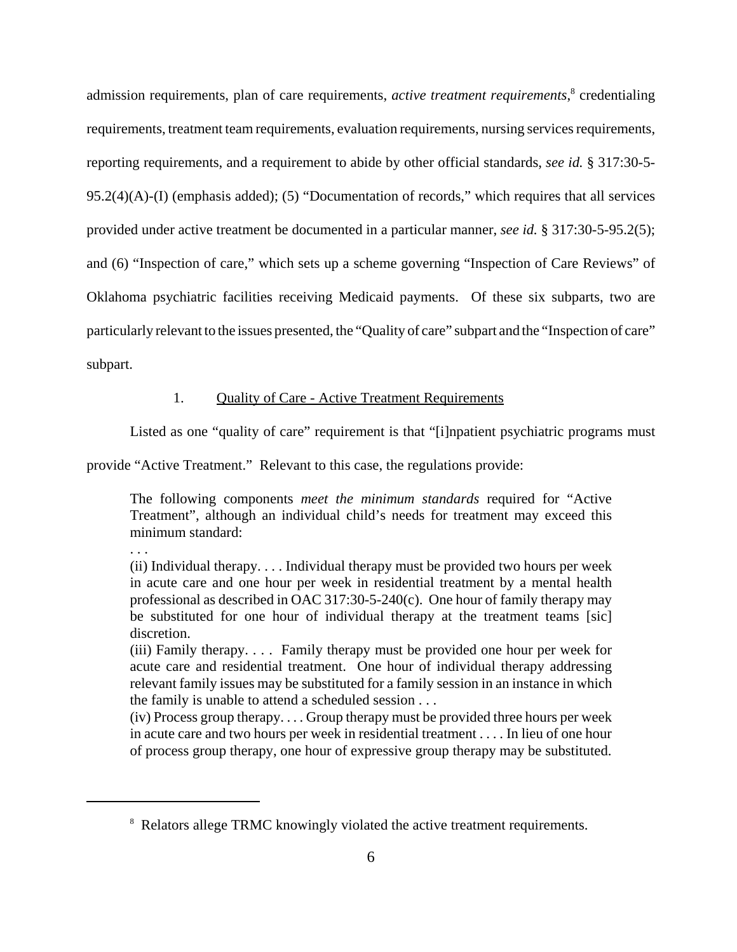admission requirements, plan of care requirements, *active treatment requirements*,<sup>8</sup> credentialing requirements, treatment team requirements, evaluation requirements, nursing services requirements, reporting requirements, and a requirement to abide by other official standards, *see id.* § 317:30-5- 95.2(4)(A)-(I) (emphasis added); (5) "Documentation of records," which requires that all services provided under active treatment be documented in a particular manner, *see id.* § 317:30-5-95.2(5); and (6) "Inspection of care," which sets up a scheme governing "Inspection of Care Reviews" of Oklahoma psychiatric facilities receiving Medicaid payments. Of these six subparts, two are particularly relevant to the issues presented, the "Quality of care" subpart and the "Inspection of care" subpart.

# 1. Quality of Care - Active Treatment Requirements

Listed as one "quality of care" requirement is that "[i]npatient psychiatric programs must

provide "Active Treatment." Relevant to this case, the regulations provide:

. . .

The following components *meet the minimum standards* required for "Active Treatment", although an individual child's needs for treatment may exceed this minimum standard:

(ii) Individual therapy. . . . Individual therapy must be provided two hours per week in acute care and one hour per week in residential treatment by a mental health professional as described in OAC 317:30-5-240(c). One hour of family therapy may be substituted for one hour of individual therapy at the treatment teams [sic] discretion.

(iii) Family therapy. . . . Family therapy must be provided one hour per week for acute care and residential treatment. One hour of individual therapy addressing relevant family issues may be substituted for a family session in an instance in which the family is unable to attend a scheduled session . . .

(iv) Process group therapy. . . . Group therapy must be provided three hours per week in acute care and two hours per week in residential treatment . . . . In lieu of one hour of process group therapy, one hour of expressive group therapy may be substituted.

<sup>&</sup>lt;sup>8</sup> Relators allege TRMC knowingly violated the active treatment requirements.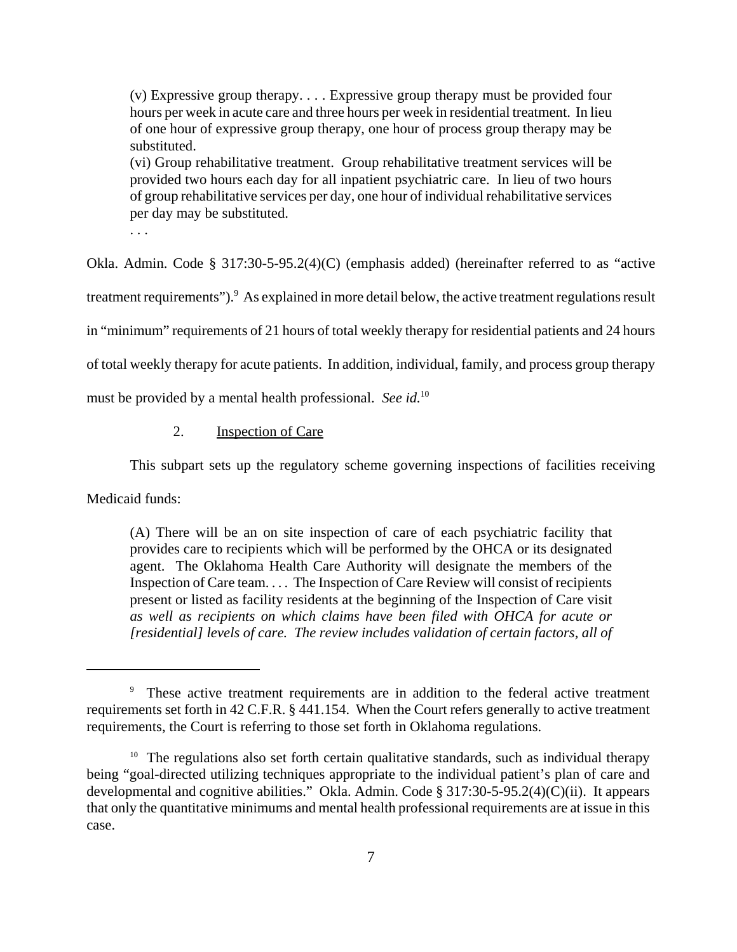(v) Expressive group therapy. . . . Expressive group therapy must be provided four hours per week in acute care and three hours per week in residential treatment. In lieu of one hour of expressive group therapy, one hour of process group therapy may be substituted.

(vi) Group rehabilitative treatment. Group rehabilitative treatment services will be provided two hours each day for all inpatient psychiatric care. In lieu of two hours of group rehabilitative services per day, one hour of individual rehabilitative services per day may be substituted.

. . .

Okla. Admin. Code § 317:30-5-95.2(4)(C) (emphasis added) (hereinafter referred to as "active

treatment requirements"). As explained in more detail below, the active treatment regulations result

in "minimum" requirements of 21 hours of total weekly therapy for residential patients and 24 hours

of total weekly therapy for acute patients. In addition, individual, family, and process group therapy

must be provided by a mental health professional. *See id.*<sup>10</sup>

# 2. Inspection of Care

This subpart sets up the regulatory scheme governing inspections of facilities receiving

Medicaid funds:

(A) There will be an on site inspection of care of each psychiatric facility that provides care to recipients which will be performed by the OHCA or its designated agent. The Oklahoma Health Care Authority will designate the members of the Inspection of Care team. . . . The Inspection of Care Review will consist of recipients present or listed as facility residents at the beginning of the Inspection of Care visit *as well as recipients on which claims have been filed with OHCA for acute or [residential] levels of care. The review includes validation of certain factors, all of*

<sup>&</sup>lt;sup>9</sup> These active treatment requirements are in addition to the federal active treatment requirements set forth in 42 C.F.R. § 441.154. When the Court refers generally to active treatment requirements, the Court is referring to those set forth in Oklahoma regulations.

 $10$  The regulations also set forth certain qualitative standards, such as individual therapy being "goal-directed utilizing techniques appropriate to the individual patient's plan of care and developmental and cognitive abilities." Okla. Admin. Code § 317:30-5-95.2(4)(C)(ii). It appears that only the quantitative minimums and mental health professional requirements are at issue in this case.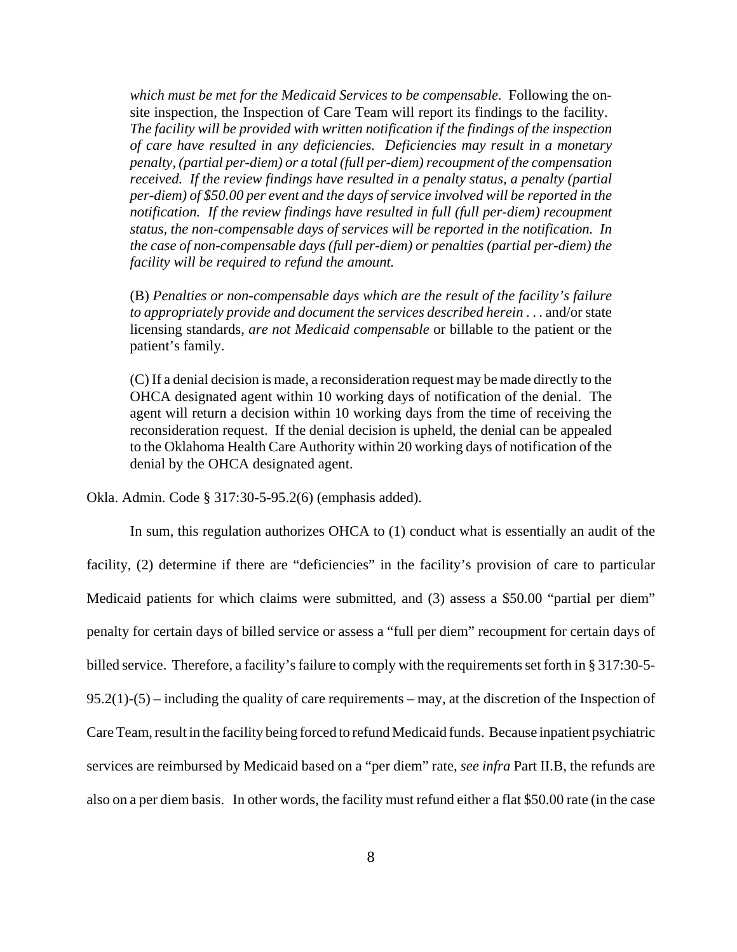*which must be met for the Medicaid Services to be compensable.* Following the onsite inspection, the Inspection of Care Team will report its findings to the facility. *The facility will be provided with written notification if the findings of the inspection of care have resulted in any deficiencies. Deficiencies may result in a monetary penalty, (partial per-diem) or a total (full per-diem) recoupment of the compensation received. If the review findings have resulted in a penalty status, a penalty (partial per-diem) of \$50.00 per event and the days of service involved will be reported in the notification. If the review findings have resulted in full (full per-diem) recoupment status, the non-compensable days of services will be reported in the notification. In the case of non-compensable days (full per-diem) or penalties (partial per-diem) the facility will be required to refund the amount.*

(B) *Penalties or non-compensable days which are the result of the facility's failure to appropriately provide and document the services described herein* . . . and/or state licensing standards, *are not Medicaid compensable* or billable to the patient or the patient's family.

(C) If a denial decision is made, a reconsideration request may be made directly to the OHCA designated agent within 10 working days of notification of the denial. The agent will return a decision within 10 working days from the time of receiving the reconsideration request. If the denial decision is upheld, the denial can be appealed to the Oklahoma Health Care Authority within 20 working days of notification of the denial by the OHCA designated agent.

Okla. Admin. Code § 317:30-5-95.2(6) (emphasis added).

In sum, this regulation authorizes OHCA to (1) conduct what is essentially an audit of the facility, (2) determine if there are "deficiencies" in the facility's provision of care to particular Medicaid patients for which claims were submitted, and (3) assess a \$50.00 "partial per diem" penalty for certain days of billed service or assess a "full per diem" recoupment for certain days of billed service. Therefore, a facility's failure to comply with the requirements set forth in § 317:30-5- 95.2(1)-(5) – including the quality of care requirements – may, at the discretion of the Inspection of Care Team, result in the facility being forced to refund Medicaid funds. Because inpatient psychiatric services are reimbursed by Medicaid based on a "per diem" rate, *see infra* Part II.B, the refunds are also on a per diem basis. In other words, the facility must refund either a flat \$50.00 rate (in the case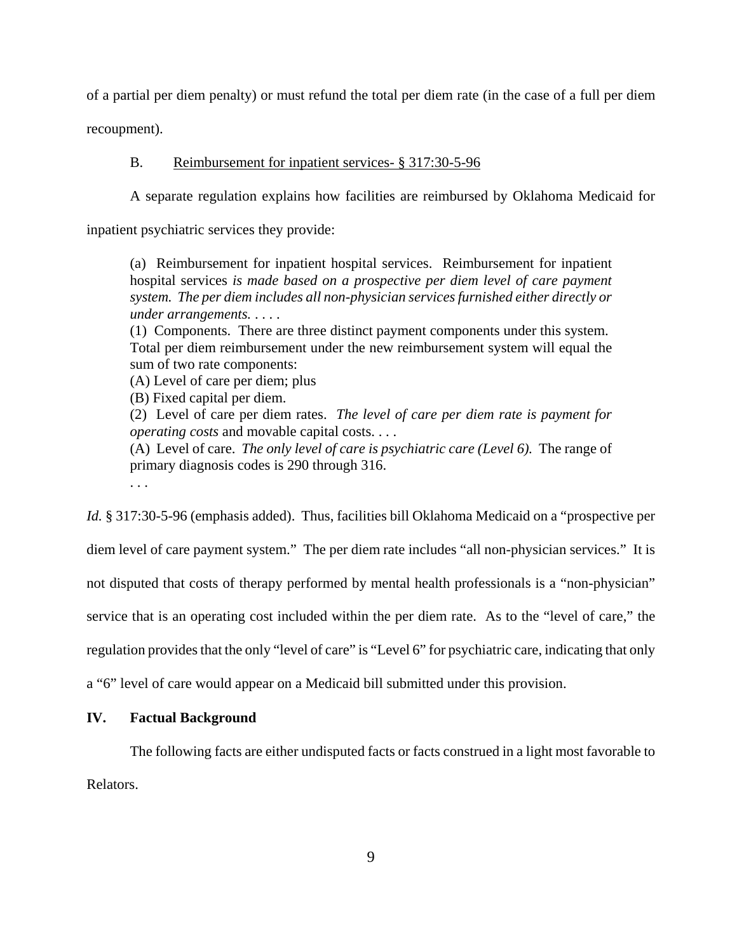of a partial per diem penalty) or must refund the total per diem rate (in the case of a full per diem

recoupment).

#### B. Reimbursement for inpatient services- § 317:30-5-96

A separate regulation explains how facilities are reimbursed by Oklahoma Medicaid for

inpatient psychiatric services they provide:

(a) Reimbursement for inpatient hospital services. Reimbursement for inpatient hospital services *is made based on a prospective per diem level of care payment system. The per diem includes all non-physician services furnished either directly or under arrangements.* . . . .

(1) Components. There are three distinct payment components under this system. Total per diem reimbursement under the new reimbursement system will equal the sum of two rate components:

(A) Level of care per diem; plus

(B) Fixed capital per diem.

(2) Level of care per diem rates. *The level of care per diem rate is payment for operating costs* and movable capital costs. . . .

(A) Level of care. *The only level of care is psychiatric care (Level 6).* The range of primary diagnosis codes is 290 through 316.

. . .

*Id.* § 317:30-5-96 (emphasis added). Thus, facilities bill Oklahoma Medicaid on a "prospective per diem level of care payment system." The per diem rate includes "all non-physician services." It is not disputed that costs of therapy performed by mental health professionals is a "non-physician" service that is an operating cost included within the per diem rate. As to the "level of care," the regulation provides that the only "level of care" is "Level 6" for psychiatric care, indicating that only a "6" level of care would appear on a Medicaid bill submitted under this provision.

### **IV. Factual Background**

The following facts are either undisputed facts or facts construed in a light most favorable to Relators.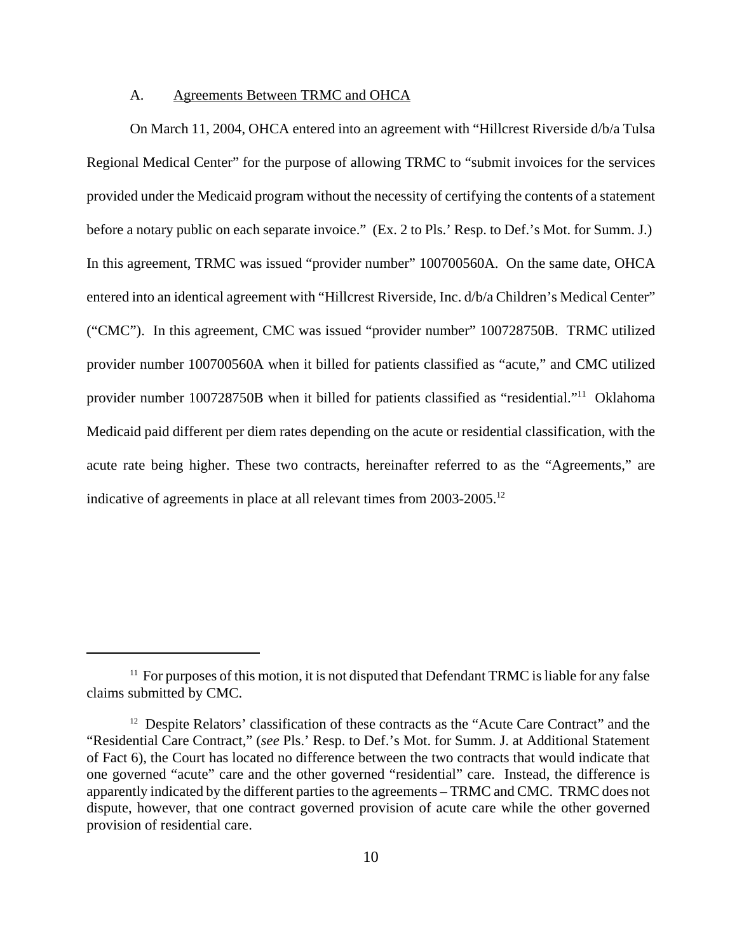### A. Agreements Between TRMC and OHCA

On March 11, 2004, OHCA entered into an agreement with "Hillcrest Riverside d/b/a Tulsa Regional Medical Center" for the purpose of allowing TRMC to "submit invoices for the services provided under the Medicaid program without the necessity of certifying the contents of a statement before a notary public on each separate invoice." (Ex. 2 to Pls.' Resp. to Def.'s Mot. for Summ. J.) In this agreement, TRMC was issued "provider number" 100700560A. On the same date, OHCA entered into an identical agreement with "Hillcrest Riverside, Inc. d/b/a Children's Medical Center" ("CMC"). In this agreement, CMC was issued "provider number" 100728750B. TRMC utilized provider number 100700560A when it billed for patients classified as "acute," and CMC utilized provider number 100728750B when it billed for patients classified as "residential."<sup>11</sup> Oklahoma Medicaid paid different per diem rates depending on the acute or residential classification, with the acute rate being higher. These two contracts, hereinafter referred to as the "Agreements," are indicative of agreements in place at all relevant times from 2003-2005.<sup>12</sup>

<sup>&</sup>lt;sup>11</sup> For purposes of this motion, it is not disputed that Defendant TRMC is liable for any false claims submitted by CMC.

<sup>&</sup>lt;sup>12</sup> Despite Relators' classification of these contracts as the "Acute Care Contract" and the "Residential Care Contract," (*see* Pls.' Resp. to Def.'s Mot. for Summ. J. at Additional Statement of Fact 6), the Court has located no difference between the two contracts that would indicate that one governed "acute" care and the other governed "residential" care. Instead, the difference is apparently indicated by the different parties to the agreements – TRMC and CMC. TRMC does not dispute, however, that one contract governed provision of acute care while the other governed provision of residential care.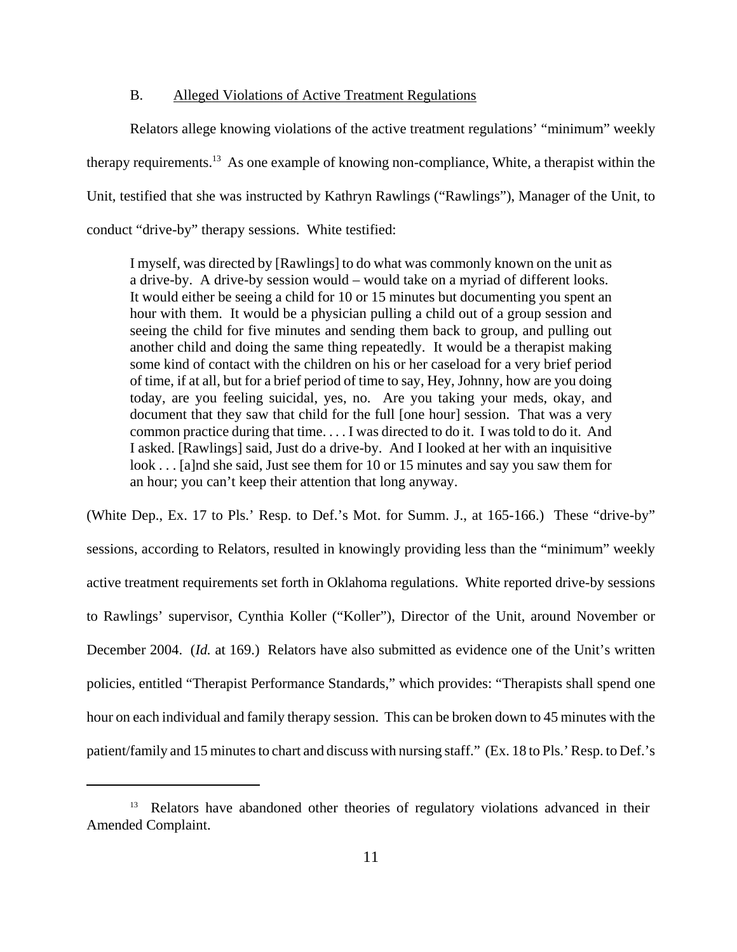# B. Alleged Violations of Active Treatment Regulations

Relators allege knowing violations of the active treatment regulations' "minimum" weekly therapy requirements.<sup>13</sup> As one example of knowing non-compliance, White, a therapist within the Unit, testified that she was instructed by Kathryn Rawlings ("Rawlings"), Manager of the Unit, to conduct "drive-by" therapy sessions. White testified:

I myself, was directed by [Rawlings] to do what was commonly known on the unit as a drive-by. A drive-by session would – would take on a myriad of different looks. It would either be seeing a child for 10 or 15 minutes but documenting you spent an hour with them. It would be a physician pulling a child out of a group session and seeing the child for five minutes and sending them back to group, and pulling out another child and doing the same thing repeatedly. It would be a therapist making some kind of contact with the children on his or her caseload for a very brief period of time, if at all, but for a brief period of time to say, Hey, Johnny, how are you doing today, are you feeling suicidal, yes, no. Are you taking your meds, okay, and document that they saw that child for the full [one hour] session. That was a very common practice during that time. . . . I was directed to do it. I was told to do it. And I asked. [Rawlings] said, Just do a drive-by. And I looked at her with an inquisitive look . . . [a]nd she said, Just see them for 10 or 15 minutes and say you saw them for an hour; you can't keep their attention that long anyway.

(White Dep., Ex. 17 to Pls.' Resp. to Def.'s Mot. for Summ. J., at 165-166.) These "drive-by" sessions, according to Relators, resulted in knowingly providing less than the "minimum" weekly active treatment requirements set forth in Oklahoma regulations. White reported drive-by sessions to Rawlings' supervisor, Cynthia Koller ("Koller"), Director of the Unit, around November or December 2004. (*Id.* at 169.) Relators have also submitted as evidence one of the Unit's written policies, entitled "Therapist Performance Standards," which provides: "Therapists shall spend one hour on each individual and family therapy session. This can be broken down to 45 minutes with the patient/family and 15 minutes to chart and discuss with nursing staff." (Ex. 18 to Pls.' Resp. to Def.'s

<sup>&</sup>lt;sup>13</sup> Relators have abandoned other theories of regulatory violations advanced in their Amended Complaint.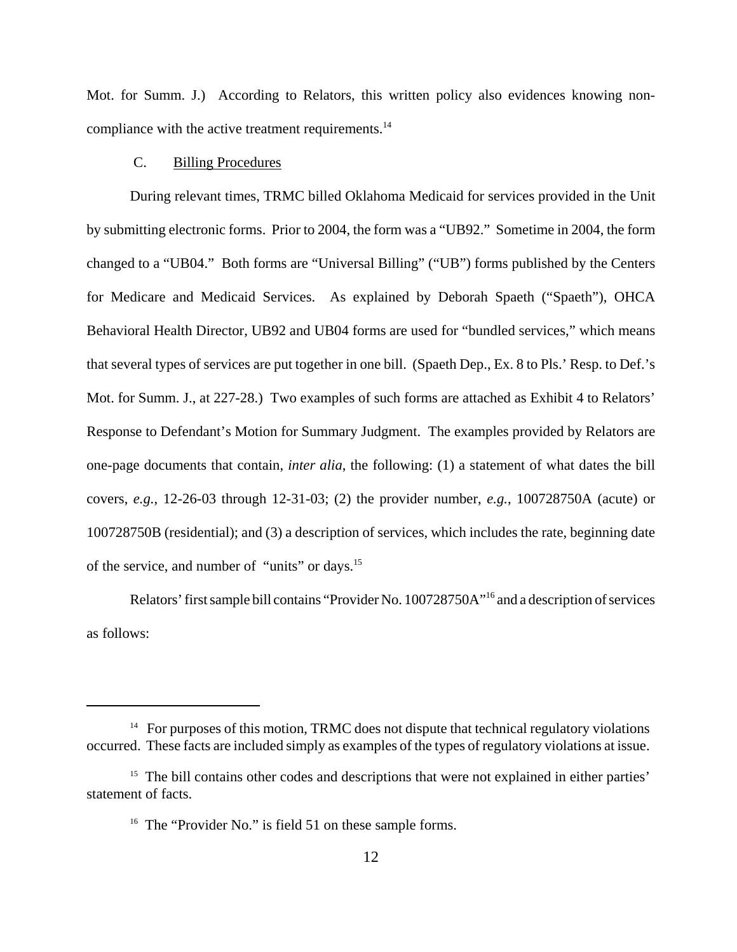Mot. for Summ. J.) According to Relators, this written policy also evidences knowing noncompliance with the active treatment requirements.<sup>14</sup>

# C. Billing Procedures

During relevant times, TRMC billed Oklahoma Medicaid for services provided in the Unit by submitting electronic forms. Prior to 2004, the form was a "UB92." Sometime in 2004, the form changed to a "UB04." Both forms are "Universal Billing" ("UB") forms published by the Centers for Medicare and Medicaid Services. As explained by Deborah Spaeth ("Spaeth"), OHCA Behavioral Health Director, UB92 and UB04 forms are used for "bundled services," which means that several types of services are put together in one bill. (Spaeth Dep., Ex. 8 to Pls.' Resp. to Def.'s Mot. for Summ. J., at 227-28.) Two examples of such forms are attached as Exhibit 4 to Relators' Response to Defendant's Motion for Summary Judgment. The examples provided by Relators are one-page documents that contain, *inter alia*, the following: (1) a statement of what dates the bill covers, *e.g.*, 12-26-03 through 12-31-03; (2) the provider number, *e.g.*, 100728750A (acute) or 100728750B (residential); and (3) a description of services, which includes the rate, beginning date of the service, and number of "units" or days.<sup>15</sup>

Relators' first sample bill contains "Provider No. 100728750A"<sup>16</sup> and a description of services as follows:

 $14$  For purposes of this motion, TRMC does not dispute that technical regulatory violations occurred. These facts are included simply as examples of the types of regulatory violations at issue.

<sup>&</sup>lt;sup>15</sup> The bill contains other codes and descriptions that were not explained in either parties' statement of facts.

<sup>&</sup>lt;sup>16</sup> The "Provider No." is field 51 on these sample forms.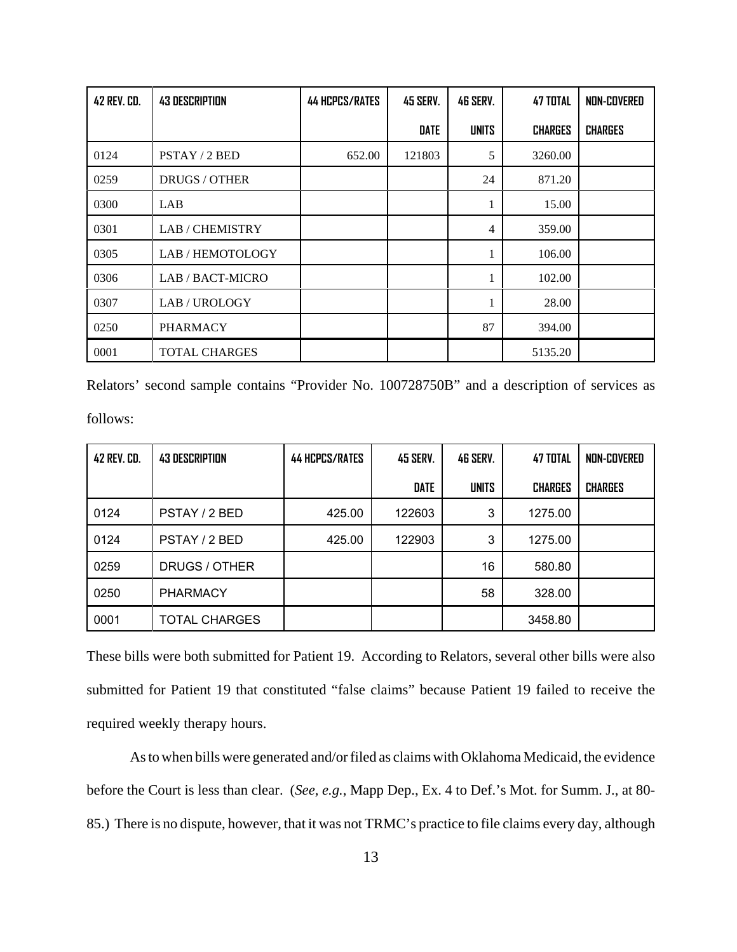| 42 REV. CD. | <b>43 DESCRIPTION</b> | <b>44 HCPCS/RATES</b> | 45 SERV. | <b>46 SERV.</b> | <b>47 TOTAL</b> | NON-COVERED    |
|-------------|-----------------------|-----------------------|----------|-----------------|-----------------|----------------|
|             |                       |                       | DATE     | <b>UNITS</b>    | <b>CHARGES</b>  | <b>CHARGES</b> |
| 0124        | PSTAY / 2 BED         | 652.00                | 121803   | 5               | 3260.00         |                |
| 0259        | <b>DRUGS / OTHER</b>  |                       |          | 24              | 871.20          |                |
| 0300        | LAB                   |                       |          | л               | 15.00           |                |
| 0301        | <b>LAB/CHEMISTRY</b>  |                       |          | 4               | 359.00          |                |
| 0305        | LAB/HEMOTOLOGY        |                       |          |                 | 106.00          |                |
| 0306        | LAB / BACT-MICRO      |                       |          |                 | 102.00          |                |
| 0307        | LAB/UROLOGY           |                       |          |                 | 28.00           |                |
| 0250        | <b>PHARMACY</b>       |                       |          | 87              | 394.00          |                |
| 0001        | <b>TOTAL CHARGES</b>  |                       |          |                 | 5135.20         |                |

Relators' second sample contains "Provider No. 100728750B" and a description of services as follows:

| 42 REV. CD. | <b>43 DESCRIPTION</b> | <b>44 HCPCS/RATES</b> | <b>45 SERV.</b> | 46 SERV.     | 47 TOTAL       | NON-COVERED    |
|-------------|-----------------------|-----------------------|-----------------|--------------|----------------|----------------|
|             |                       |                       | <b>DATE</b>     | <b>UNITS</b> | <b>CHARGES</b> | <b>CHARGES</b> |
| 0124        | PSTAY / 2 BED         | 425.00                | 122603          | 3            | 1275.00        |                |
| 0124        | PSTAY / 2 BED         | 425.00                | 122903          | 3            | 1275.00        |                |
| 0259        | DRUGS / OTHER         |                       |                 | 16           | 580.80         |                |
| 0250        | <b>PHARMACY</b>       |                       |                 | 58           | 328.00         |                |
| 0001        | <b>TOTAL CHARGES</b>  |                       |                 |              | 3458.80        |                |

These bills were both submitted for Patient 19. According to Relators, several other bills were also submitted for Patient 19 that constituted "false claims" because Patient 19 failed to receive the required weekly therapy hours.

As to when bills were generated and/or filed as claims with Oklahoma Medicaid, the evidence before the Court is less than clear. (*See, e.g.*, Mapp Dep., Ex. 4 to Def.'s Mot. for Summ. J., at 80- 85.) There is no dispute, however, that it was not TRMC's practice to file claims every day, although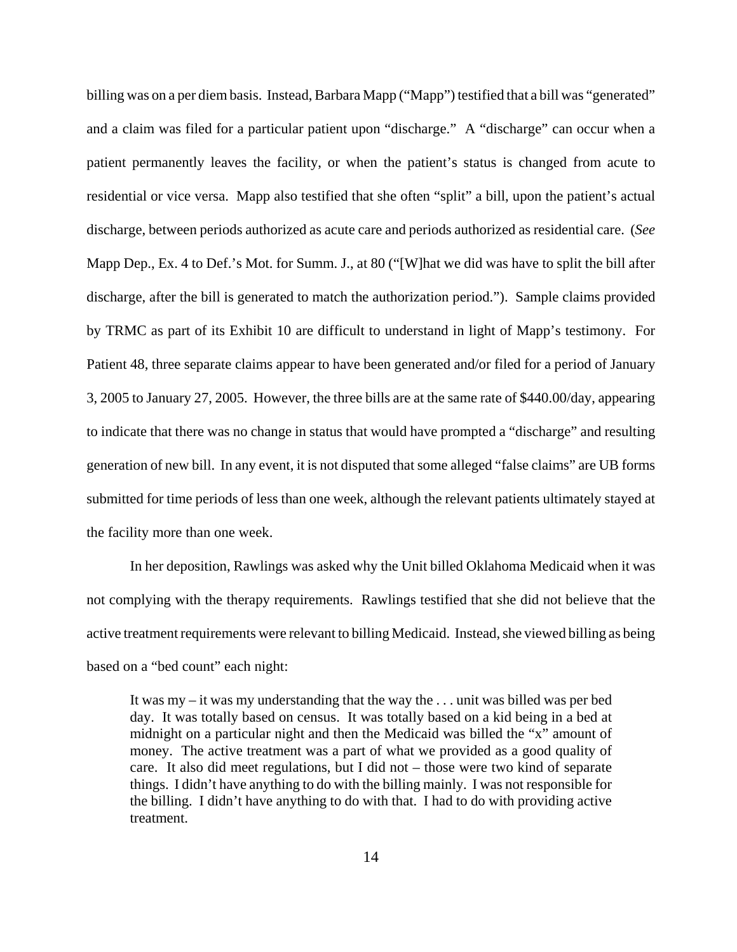billing was on a per diem basis. Instead, Barbara Mapp ("Mapp") testified that a bill was "generated" and a claim was filed for a particular patient upon "discharge." A "discharge" can occur when a patient permanently leaves the facility, or when the patient's status is changed from acute to residential or vice versa. Mapp also testified that she often "split" a bill, upon the patient's actual discharge, between periods authorized as acute care and periods authorized as residential care. (*See* Mapp Dep., Ex. 4 to Def.'s Mot. for Summ. J., at 80 ("[W]hat we did was have to split the bill after discharge, after the bill is generated to match the authorization period."). Sample claims provided by TRMC as part of its Exhibit 10 are difficult to understand in light of Mapp's testimony. For Patient 48, three separate claims appear to have been generated and/or filed for a period of January 3, 2005 to January 27, 2005. However, the three bills are at the same rate of \$440.00/day, appearing to indicate that there was no change in status that would have prompted a "discharge" and resulting generation of new bill. In any event, it is not disputed that some alleged "false claims" are UB forms submitted for time periods of less than one week, although the relevant patients ultimately stayed at the facility more than one week.

In her deposition, Rawlings was asked why the Unit billed Oklahoma Medicaid when it was not complying with the therapy requirements. Rawlings testified that she did not believe that the active treatment requirements were relevant to billing Medicaid. Instead, she viewed billing as being based on a "bed count" each night:

It was my – it was my understanding that the way the . . . unit was billed was per bed day. It was totally based on census. It was totally based on a kid being in a bed at midnight on a particular night and then the Medicaid was billed the "x" amount of money. The active treatment was a part of what we provided as a good quality of care. It also did meet regulations, but I did not – those were two kind of separate things. I didn't have anything to do with the billing mainly. I was not responsible for the billing. I didn't have anything to do with that. I had to do with providing active treatment.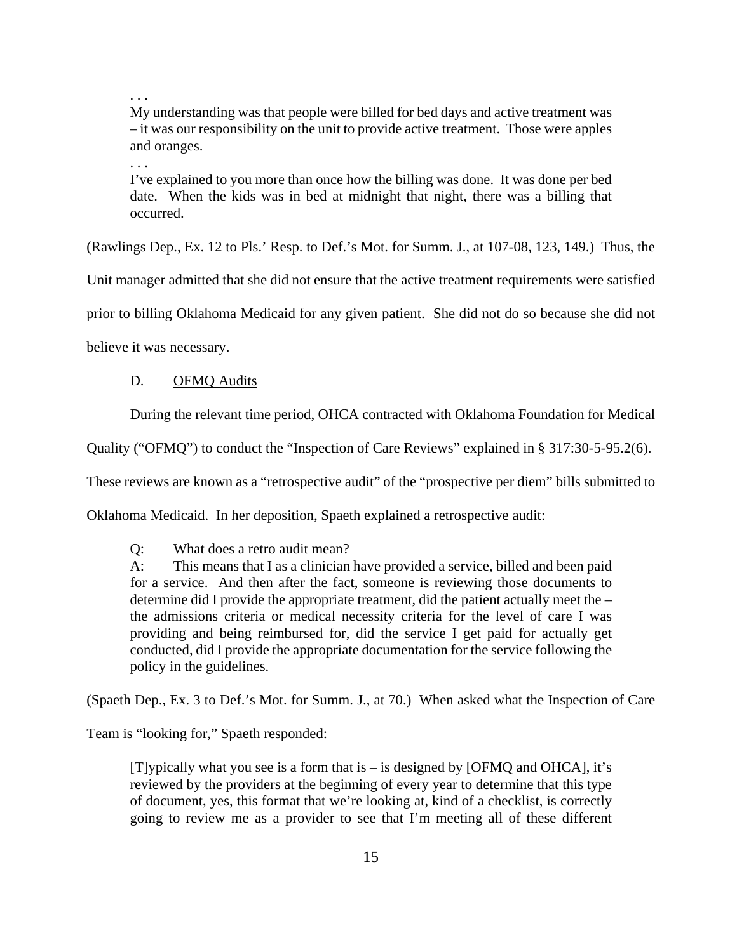. . .

My understanding was that people were billed for bed days and active treatment was – it was our responsibility on the unit to provide active treatment. Those were apples and oranges.

. . .

I've explained to you more than once how the billing was done. It was done per bed date. When the kids was in bed at midnight that night, there was a billing that occurred.

(Rawlings Dep., Ex. 12 to Pls.' Resp. to Def.'s Mot. for Summ. J., at 107-08, 123, 149.) Thus, the

Unit manager admitted that she did not ensure that the active treatment requirements were satisfied

prior to billing Oklahoma Medicaid for any given patient. She did not do so because she did not

believe it was necessary.

#### D. OFMQ Audits

During the relevant time period, OHCA contracted with Oklahoma Foundation for Medical

Quality ("OFMQ") to conduct the "Inspection of Care Reviews" explained in § 317:30-5-95.2(6).

These reviews are known as a "retrospective audit" of the "prospective per diem" bills submitted to

Oklahoma Medicaid. In her deposition, Spaeth explained a retrospective audit:

Q: What does a retro audit mean?

A: This means that I as a clinician have provided a service, billed and been paid for a service. And then after the fact, someone is reviewing those documents to determine did I provide the appropriate treatment, did the patient actually meet the – the admissions criteria or medical necessity criteria for the level of care I was providing and being reimbursed for, did the service I get paid for actually get conducted, did I provide the appropriate documentation for the service following the policy in the guidelines.

(Spaeth Dep., Ex. 3 to Def.'s Mot. for Summ. J., at 70.) When asked what the Inspection of Care

Team is "looking for," Spaeth responded:

[T]ypically what you see is a form that is – is designed by [OFMQ and OHCA], it's reviewed by the providers at the beginning of every year to determine that this type of document, yes, this format that we're looking at, kind of a checklist, is correctly going to review me as a provider to see that I'm meeting all of these different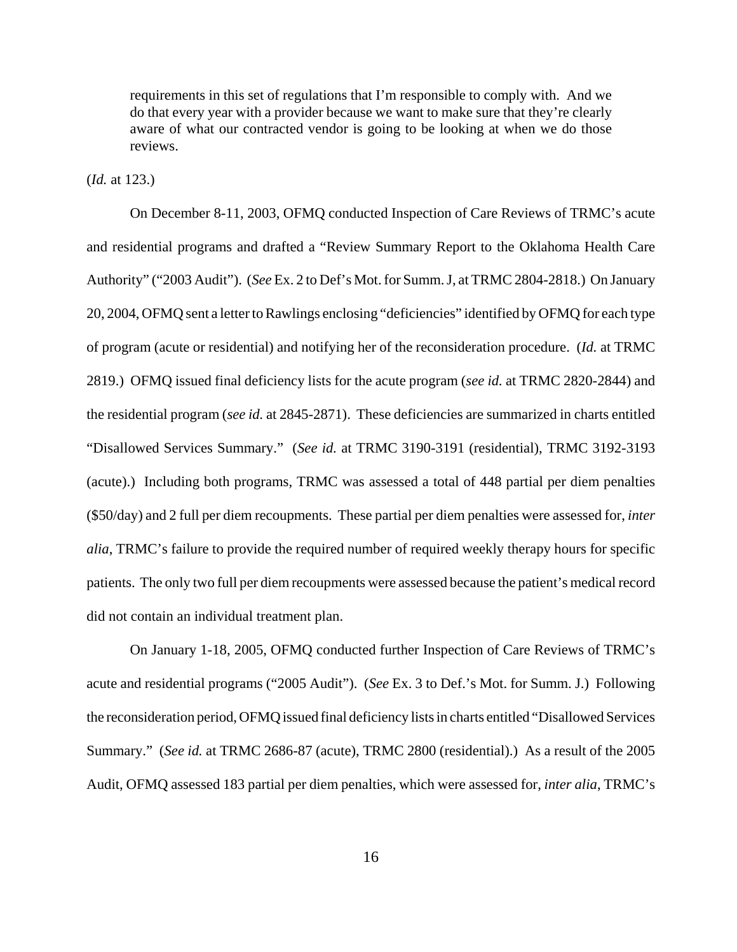requirements in this set of regulations that I'm responsible to comply with. And we do that every year with a provider because we want to make sure that they're clearly aware of what our contracted vendor is going to be looking at when we do those reviews.

(*Id.* at 123.)

On December 8-11, 2003, OFMQ conducted Inspection of Care Reviews of TRMC's acute and residential programs and drafted a "Review Summary Report to the Oklahoma Health Care Authority" ("2003 Audit"). (*See* Ex. 2 to Def's Mot. for Summ. J, at TRMC 2804-2818.) On January 20, 2004, OFMQ sent a letter to Rawlings enclosing "deficiencies" identified by OFMQ for each type of program (acute or residential) and notifying her of the reconsideration procedure. (*Id.* at TRMC 2819.) OFMQ issued final deficiency lists for the acute program (*see id.* at TRMC 2820-2844) and the residential program (*see id.* at 2845-2871). These deficiencies are summarized in charts entitled "Disallowed Services Summary." (*See id.* at TRMC 3190-3191 (residential), TRMC 3192-3193 (acute).) Including both programs, TRMC was assessed a total of 448 partial per diem penalties (\$50/day) and 2 full per diem recoupments. These partial per diem penalties were assessed for, *inter alia*, TRMC's failure to provide the required number of required weekly therapy hours for specific patients. The only two full per diem recoupments were assessed because the patient's medical record did not contain an individual treatment plan.

On January 1-18, 2005, OFMQ conducted further Inspection of Care Reviews of TRMC's acute and residential programs ("2005 Audit"). (*See* Ex. 3 to Def.'s Mot. for Summ. J.) Following the reconsideration period, OFMQ issued final deficiency lists in charts entitled "Disallowed Services Summary." (*See id.* at TRMC 2686-87 (acute), TRMC 2800 (residential).) As a result of the 2005 Audit, OFMQ assessed 183 partial per diem penalties, which were assessed for, *inter alia*, TRMC's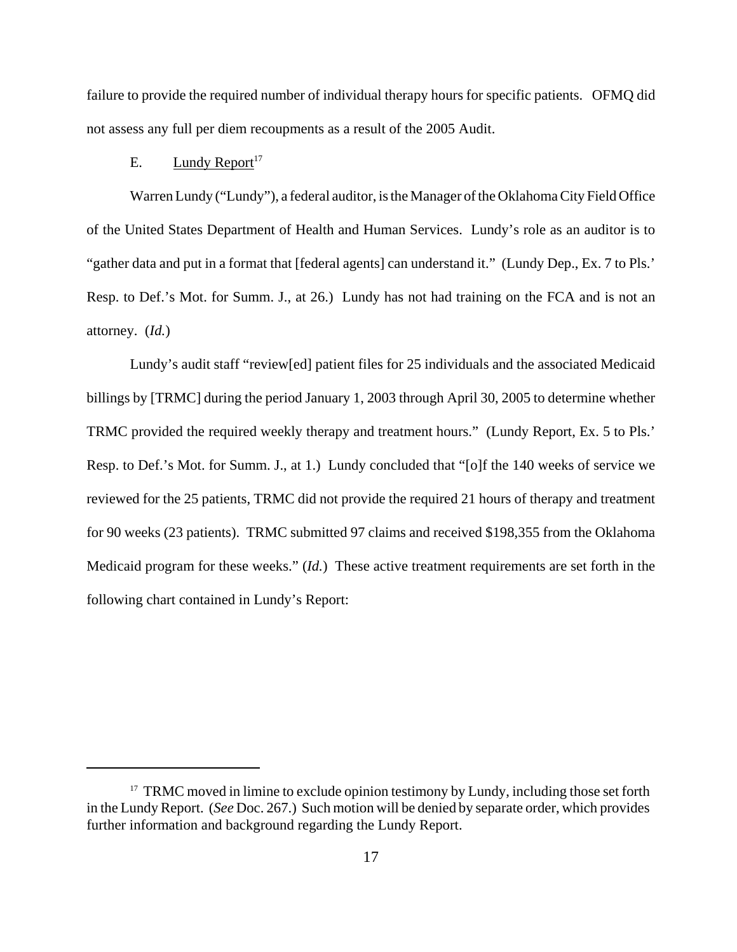failure to provide the required number of individual therapy hours for specific patients. OFMQ did not assess any full per diem recoupments as a result of the 2005 Audit.

# E. Lundy Report<sup>17</sup>

Warren Lundy ("Lundy"), a federal auditor, is the Manager of the Oklahoma City Field Office of the United States Department of Health and Human Services. Lundy's role as an auditor is to "gather data and put in a format that [federal agents] can understand it." (Lundy Dep., Ex. 7 to Pls.' Resp. to Def.'s Mot. for Summ. J., at 26.) Lundy has not had training on the FCA and is not an attorney. (*Id.*)

Lundy's audit staff "review[ed] patient files for 25 individuals and the associated Medicaid billings by [TRMC] during the period January 1, 2003 through April 30, 2005 to determine whether TRMC provided the required weekly therapy and treatment hours." (Lundy Report, Ex. 5 to Pls.' Resp. to Def.'s Mot. for Summ. J., at 1.) Lundy concluded that "[o]f the 140 weeks of service we reviewed for the 25 patients, TRMC did not provide the required 21 hours of therapy and treatment for 90 weeks (23 patients). TRMC submitted 97 claims and received \$198,355 from the Oklahoma Medicaid program for these weeks." (*Id.*) These active treatment requirements are set forth in the following chart contained in Lundy's Report:

<sup>&</sup>lt;sup>17</sup> TRMC moved in limine to exclude opinion testimony by Lundy, including those set forth in the Lundy Report. (*See* Doc. 267.) Such motion will be denied by separate order, which provides further information and background regarding the Lundy Report.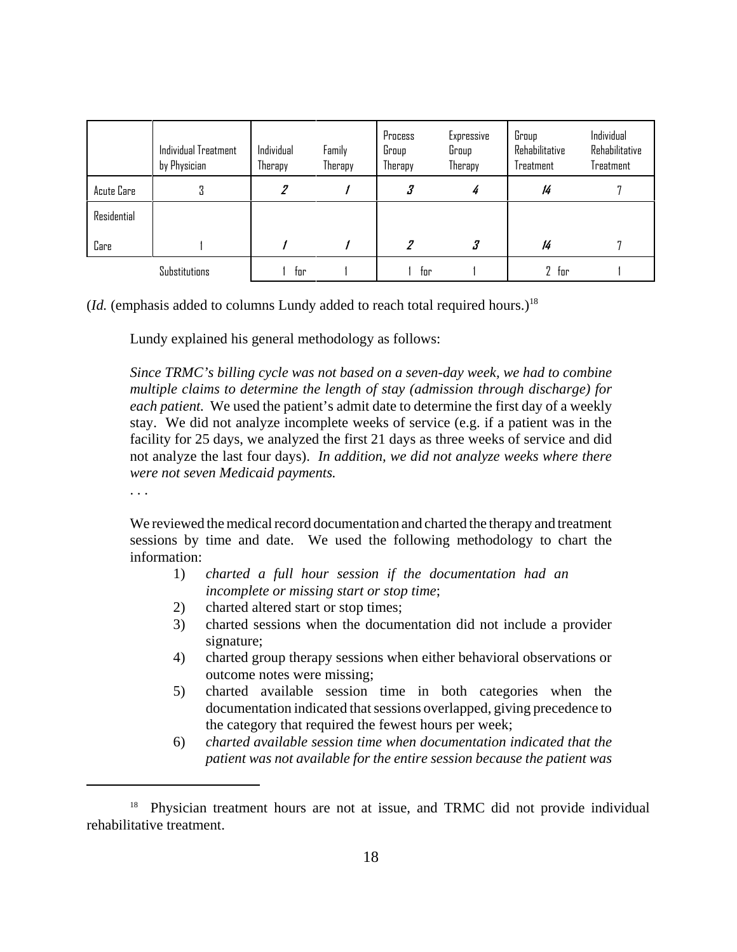|             | Individual Treatment<br>by Physician | Individual<br>Therapy | Family<br>Therapy | Process<br>Group<br>Therapy | Expressive<br>Group<br>Therapy | Group<br>Rehabilitative<br>Treatment | Individual<br>Rehabilitative<br>Treatment |
|-------------|--------------------------------------|-----------------------|-------------------|-----------------------------|--------------------------------|--------------------------------------|-------------------------------------------|
| Acute Care  | п<br>U                               |                       |                   | 3                           | 4                              | 14                                   |                                           |
| Residential |                                      |                       |                   |                             |                                |                                      |                                           |
| Care        |                                      |                       |                   |                             |                                | 14                                   |                                           |
|             | Substitutions                        | tor                   |                   | tor                         |                                | $2$ for                              |                                           |

(*Id.* (emphasis added to columns Lundy added to reach total required hours.)<sup>18</sup>

Lundy explained his general methodology as follows:

*Since TRMC's billing cycle was not based on a seven-day week, we had to combine multiple claims to determine the length of stay (admission through discharge) for each patient.* We used the patient's admit date to determine the first day of a weekly stay. We did not analyze incomplete weeks of service (e.g. if a patient was in the facility for 25 days, we analyzed the first 21 days as three weeks of service and did not analyze the last four days). *In addition, we did not analyze weeks where there were not seven Medicaid payments.*

. . .

We reviewed the medical record documentation and charted the therapy and treatment sessions by time and date. We used the following methodology to chart the information:

- 1) *charted a full hour session if the documentation had an incomplete or missing start or stop time*;
- 2) charted altered start or stop times;
- 3) charted sessions when the documentation did not include a provider signature;
- 4) charted group therapy sessions when either behavioral observations or outcome notes were missing;
- 5) charted available session time in both categories when the documentation indicated that sessions overlapped, giving precedence to the category that required the fewest hours per week;
- 6) *charted available session time when documentation indicated that the patient was not available for the entire session because the patient was*

<sup>&</sup>lt;sup>18</sup> Physician treatment hours are not at issue, and TRMC did not provide individual rehabilitative treatment.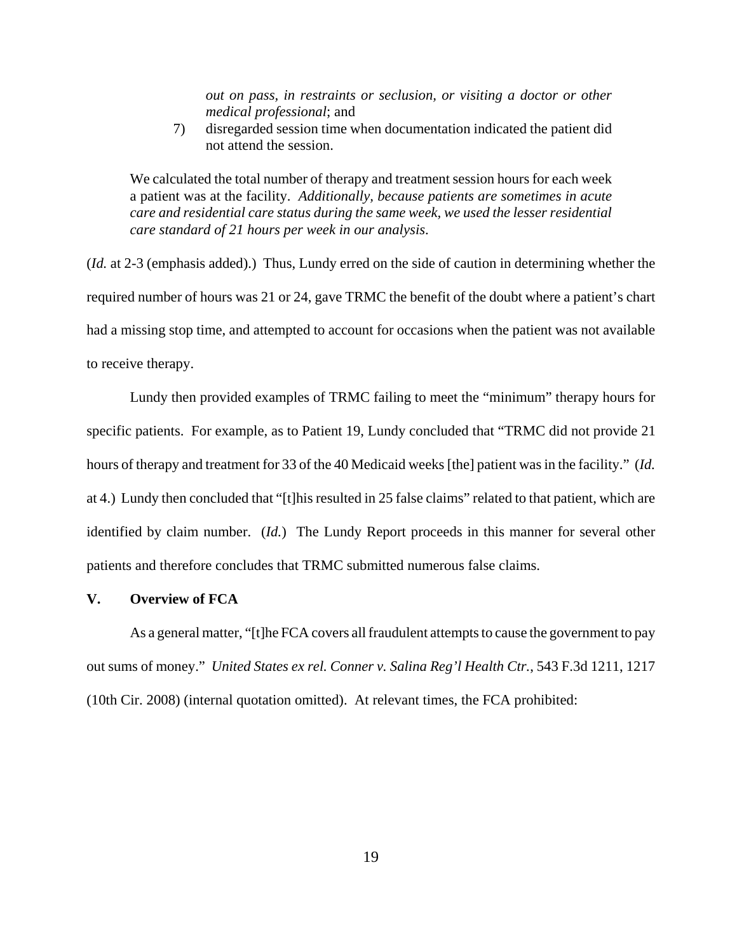*out on pass, in restraints or seclusion, or visiting a doctor or other medical professional*; and

7) disregarded session time when documentation indicated the patient did not attend the session.

We calculated the total number of therapy and treatment session hours for each week a patient was at the facility. *Additionally, because patients are sometimes in acute care and residential care status during the same week, we used the lesser residential care standard of 21 hours per week in our analysis*.

(*Id.* at 2-3 (emphasis added).) Thus, Lundy erred on the side of caution in determining whether the required number of hours was 21 or 24, gave TRMC the benefit of the doubt where a patient's chart had a missing stop time, and attempted to account for occasions when the patient was not available to receive therapy.

Lundy then provided examples of TRMC failing to meet the "minimum" therapy hours for specific patients. For example, as to Patient 19, Lundy concluded that "TRMC did not provide 21 hours of therapy and treatment for 33 of the 40 Medicaid weeks [the] patient was in the facility." (*Id.* at 4.) Lundy then concluded that "[t]his resulted in 25 false claims" related to that patient, which are identified by claim number. (*Id.*) The Lundy Report proceeds in this manner for several other patients and therefore concludes that TRMC submitted numerous false claims.

#### **V. Overview of FCA**

As a general matter, "[t]he FCA covers all fraudulent attempts to cause the government to pay out sums of money." *United States ex rel. Conner v. Salina Reg'l Health Ctr.*, 543 F.3d 1211, 1217 (10th Cir. 2008) (internal quotation omitted). At relevant times, the FCA prohibited: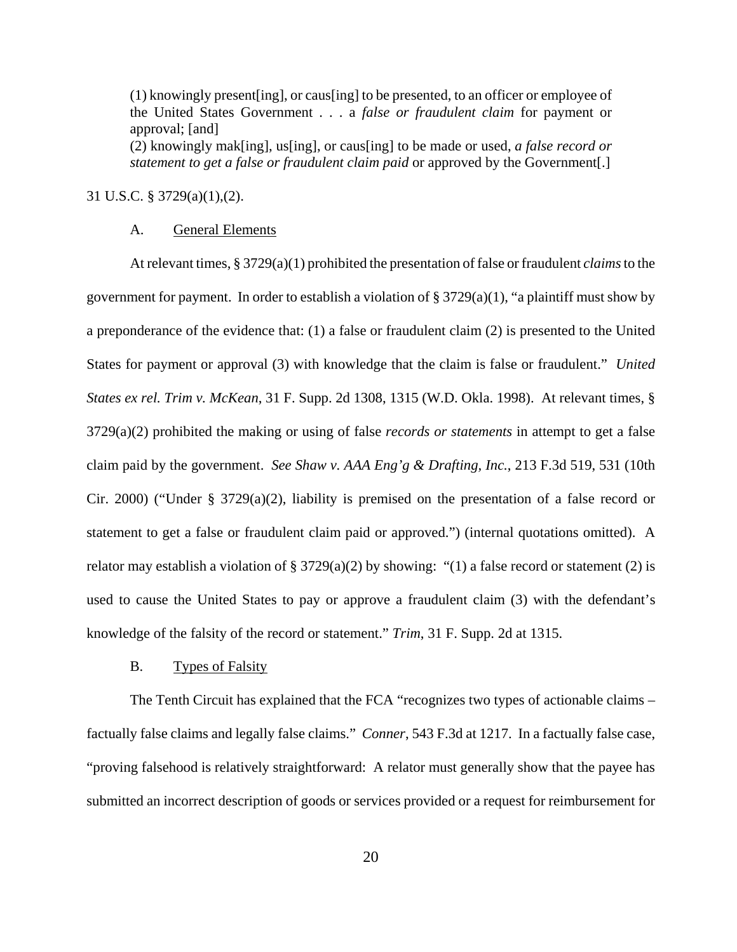(1) knowingly present[ing], or caus[ing] to be presented, to an officer or employee of the United States Government . . . a *false or fraudulent claim* for payment or approval; [and]

(2) knowingly mak[ing], us[ing], or caus[ing] to be made or used, *a false record or statement to get a false or fraudulent claim paid* or approved by the Government[.]

# 31 U.S.C. § 3729(a)(1),(2).

#### A. General Elements

At relevant times, § 3729(a)(1) prohibited the presentation of false or fraudulent *claims* to the government for payment. In order to establish a violation of  $\S 3729(a)(1)$ , "a plaintiff must show by a preponderance of the evidence that: (1) a false or fraudulent claim (2) is presented to the United States for payment or approval (3) with knowledge that the claim is false or fraudulent." *United States ex rel. Trim v. McKean*, 31 F. Supp. 2d 1308, 1315 (W.D. Okla. 1998). At relevant times, § 3729(a)(2) prohibited the making or using of false *records or statements* in attempt to get a false claim paid by the government. *See Shaw v. AAA Eng'g & Drafting, Inc.*, 213 F.3d 519, 531 (10th Cir. 2000) ("Under § 3729(a)(2), liability is premised on the presentation of a false record or statement to get a false or fraudulent claim paid or approved.") (internal quotations omitted). A relator may establish a violation of  $\S 3729(a)(2)$  by showing: "(1) a false record or statement (2) is used to cause the United States to pay or approve a fraudulent claim (3) with the defendant's knowledge of the falsity of the record or statement." *Trim*, 31 F. Supp. 2d at 1315.

#### B. Types of Falsity

The Tenth Circuit has explained that the FCA "recognizes two types of actionable claims – factually false claims and legally false claims." *Conner*, 543 F.3d at 1217. In a factually false case, "proving falsehood is relatively straightforward: A relator must generally show that the payee has submitted an incorrect description of goods or services provided or a request for reimbursement for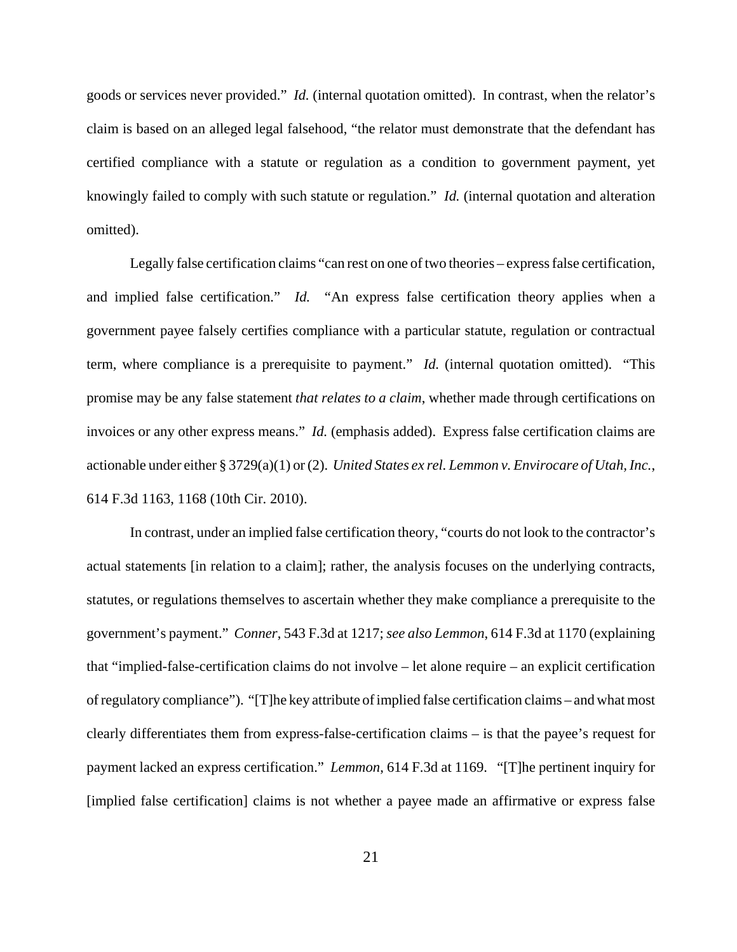goods or services never provided." *Id.* (internal quotation omitted). In contrast, when the relator's claim is based on an alleged legal falsehood, "the relator must demonstrate that the defendant has certified compliance with a statute or regulation as a condition to government payment, yet knowingly failed to comply with such statute or regulation." *Id.* (internal quotation and alteration omitted).

Legally false certification claims "can rest on one of two theories – express false certification, and implied false certification." *Id.* "An express false certification theory applies when a government payee falsely certifies compliance with a particular statute, regulation or contractual term, where compliance is a prerequisite to payment." *Id.* (internal quotation omitted). "This promise may be any false statement *that relates to a claim*, whether made through certifications on invoices or any other express means." *Id.* (emphasis added). Express false certification claims are actionable under either § 3729(a)(1) or (2). *United States ex rel. Lemmon v. Envirocare of Utah, Inc.*, 614 F.3d 1163, 1168 (10th Cir. 2010).

In contrast, under an implied false certification theory, "courts do not look to the contractor's actual statements [in relation to a claim]; rather, the analysis focuses on the underlying contracts, statutes, or regulations themselves to ascertain whether they make compliance a prerequisite to the government's payment." *Conner*, 543 F.3d at 1217; *see also Lemmon*, 614 F.3d at 1170 (explaining that "implied-false-certification claims do not involve – let alone require – an explicit certification of regulatory compliance"). "[T]he key attribute of implied false certification claims – and what most clearly differentiates them from express-false-certification claims – is that the payee's request for payment lacked an express certification." *Lemmon*, 614 F.3d at 1169. "[T]he pertinent inquiry for [implied false certification] claims is not whether a payee made an affirmative or express false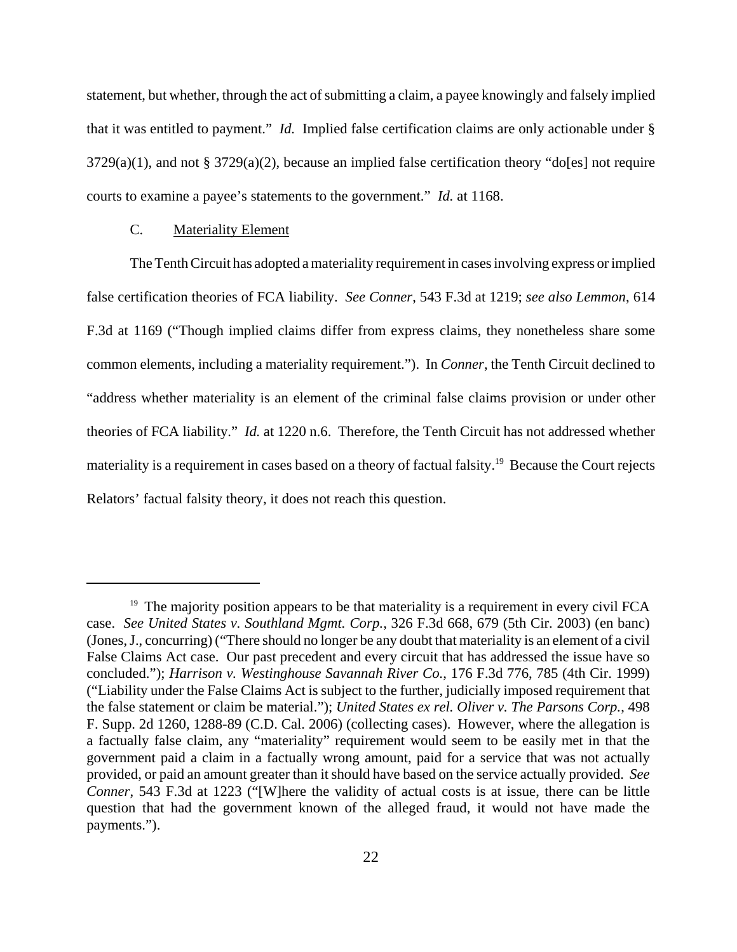statement, but whether, through the act of submitting a claim, a payee knowingly and falsely implied that it was entitled to payment." *Id.* Implied false certification claims are only actionable under § 3729(a)(1), and not § 3729(a)(2), because an implied false certification theory "do[es] not require courts to examine a payee's statements to the government." *Id.* at 1168.

#### C. Materiality Element

The Tenth Circuit has adopted a materiality requirement in cases involving express or implied false certification theories of FCA liability. *See Conner*, 543 F.3d at 1219; *see also Lemmon*, 614 F.3d at 1169 ("Though implied claims differ from express claims, they nonetheless share some common elements, including a materiality requirement."). In *Conner*, the Tenth Circuit declined to "address whether materiality is an element of the criminal false claims provision or under other theories of FCA liability." *Id.* at 1220 n.6. Therefore, the Tenth Circuit has not addressed whether materiality is a requirement in cases based on a theory of factual falsity.<sup>19</sup> Because the Court rejects Relators' factual falsity theory, it does not reach this question.

<sup>&</sup>lt;sup>19</sup> The majority position appears to be that materiality is a requirement in every civil FCA case. *See United States v. Southland Mgmt. Corp.*, 326 F.3d 668, 679 (5th Cir. 2003) (en banc) (Jones, J., concurring) ("There should no longer be any doubt that materiality is an element of a civil False Claims Act case. Our past precedent and every circuit that has addressed the issue have so concluded."); *Harrison v. Westinghouse Savannah River Co.*, 176 F.3d 776, 785 (4th Cir. 1999) ("Liability under the False Claims Act is subject to the further, judicially imposed requirement that the false statement or claim be material."); *United States ex rel. Oliver v. The Parsons Corp.*, 498 F. Supp. 2d 1260, 1288-89 (C.D. Cal. 2006) (collecting cases). However, where the allegation is a factually false claim, any "materiality" requirement would seem to be easily met in that the government paid a claim in a factually wrong amount, paid for a service that was not actually provided, or paid an amount greater than it should have based on the service actually provided. *See Conner*, 543 F.3d at 1223 ("[W]here the validity of actual costs is at issue, there can be little question that had the government known of the alleged fraud, it would not have made the payments.").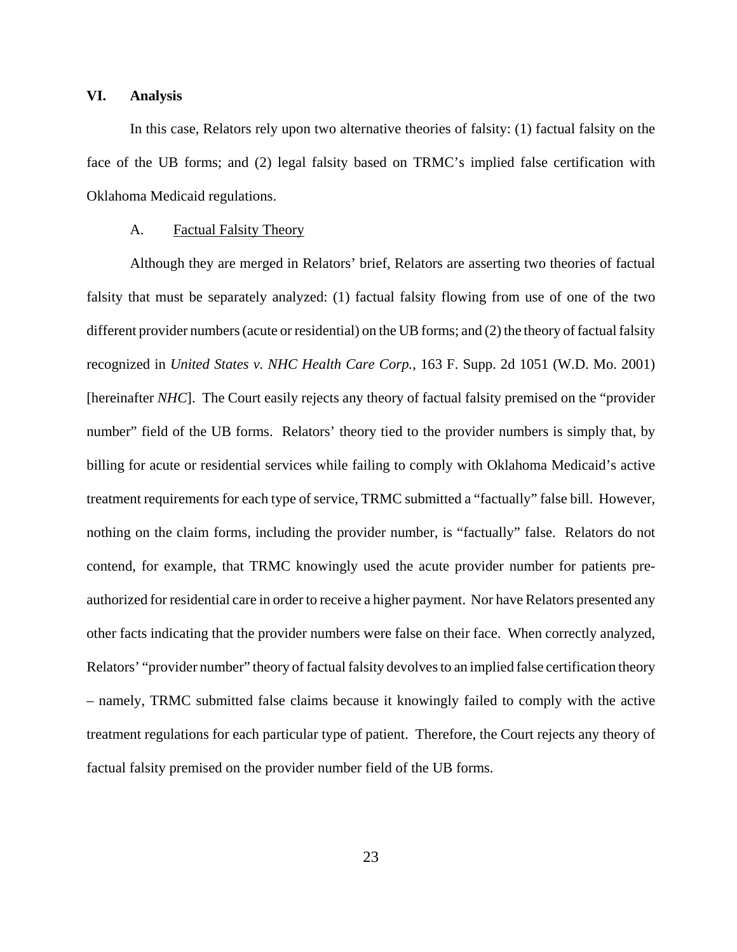#### **VI. Analysis**

In this case, Relators rely upon two alternative theories of falsity: (1) factual falsity on the face of the UB forms; and (2) legal falsity based on TRMC's implied false certification with Oklahoma Medicaid regulations.

### A. Factual Falsity Theory

Although they are merged in Relators' brief, Relators are asserting two theories of factual falsity that must be separately analyzed: (1) factual falsity flowing from use of one of the two different provider numbers (acute or residential) on the UB forms; and (2) the theory of factual falsity recognized in *United States v. NHC Health Care Corp.*, 163 F. Supp. 2d 1051 (W.D. Mo. 2001) [hereinafter *NHC*]. The Court easily rejects any theory of factual falsity premised on the "provider number" field of the UB forms. Relators' theory tied to the provider numbers is simply that, by billing for acute or residential services while failing to comply with Oklahoma Medicaid's active treatment requirements for each type of service, TRMC submitted a "factually" false bill. However, nothing on the claim forms, including the provider number, is "factually" false. Relators do not contend, for example, that TRMC knowingly used the acute provider number for patients preauthorized for residential care in order to receive a higher payment. Nor have Relators presented any other facts indicating that the provider numbers were false on their face. When correctly analyzed, Relators' "provider number" theory of factual falsity devolves to an implied false certification theory – namely, TRMC submitted false claims because it knowingly failed to comply with the active treatment regulations for each particular type of patient. Therefore, the Court rejects any theory of factual falsity premised on the provider number field of the UB forms.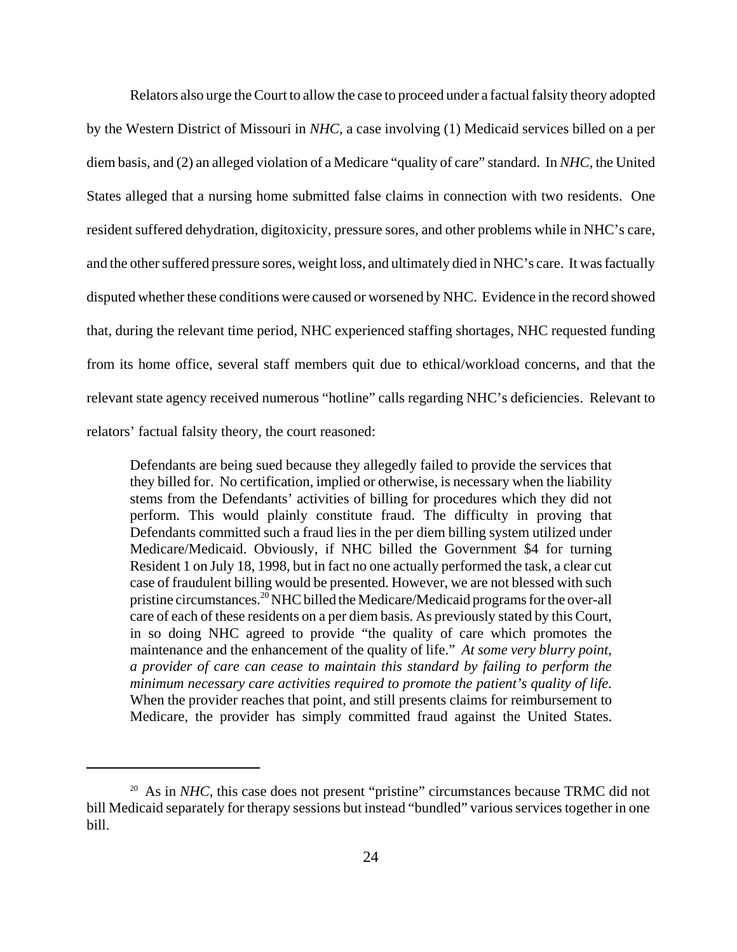Relators also urge the Court to allow the case to proceed under a factual falsity theory adopted by the Western District of Missouri in *NHC*, a case involving (1) Medicaid services billed on a per diem basis, and (2) an alleged violation of a Medicare "quality of care" standard. In *NHC*, the United States alleged that a nursing home submitted false claims in connection with two residents. One resident suffered dehydration, digitoxicity, pressure sores, and other problems while in NHC's care, and the other suffered pressure sores, weight loss, and ultimately died in NHC's care. It was factually disputed whether these conditions were caused or worsened by NHC. Evidence in the record showed that, during the relevant time period, NHC experienced staffing shortages, NHC requested funding from its home office, several staff members quit due to ethical/workload concerns, and that the relevant state agency received numerous "hotline" calls regarding NHC's deficiencies. Relevant to relators' factual falsity theory, the court reasoned:

Defendants are being sued because they allegedly failed to provide the services that they billed for. No certification, implied or otherwise, is necessary when the liability stems from the Defendants' activities of billing for procedures which they did not perform. This would plainly constitute fraud. The difficulty in proving that Defendants committed such a fraud lies in the per diem billing system utilized under Medicare/Medicaid. Obviously, if NHC billed the Government \$4 for turning Resident 1 on July 18, 1998, but in fact no one actually performed the task, a clear cut case of fraudulent billing would be presented. However, we are not blessed with such pristine circumstances.<sup>20</sup> NHC billed the Medicare/Medicaid programs for the over-all care of each of these residents on a per diem basis. As previously stated by this Court, in so doing NHC agreed to provide "the quality of care which promotes the maintenance and the enhancement of the quality of life." *At some very blurry point, a provider of care can cease to maintain this standard by failing to perform the minimum necessary care activities required to promote the patient's quality of life.* When the provider reaches that point, and still presents claims for reimbursement to Medicare, the provider has simply committed fraud against the United States.

<sup>&</sup>lt;sup>20</sup> As in *NHC*, this case does not present "pristine" circumstances because TRMC did not bill Medicaid separately for therapy sessions but instead "bundled" various services together in one bill.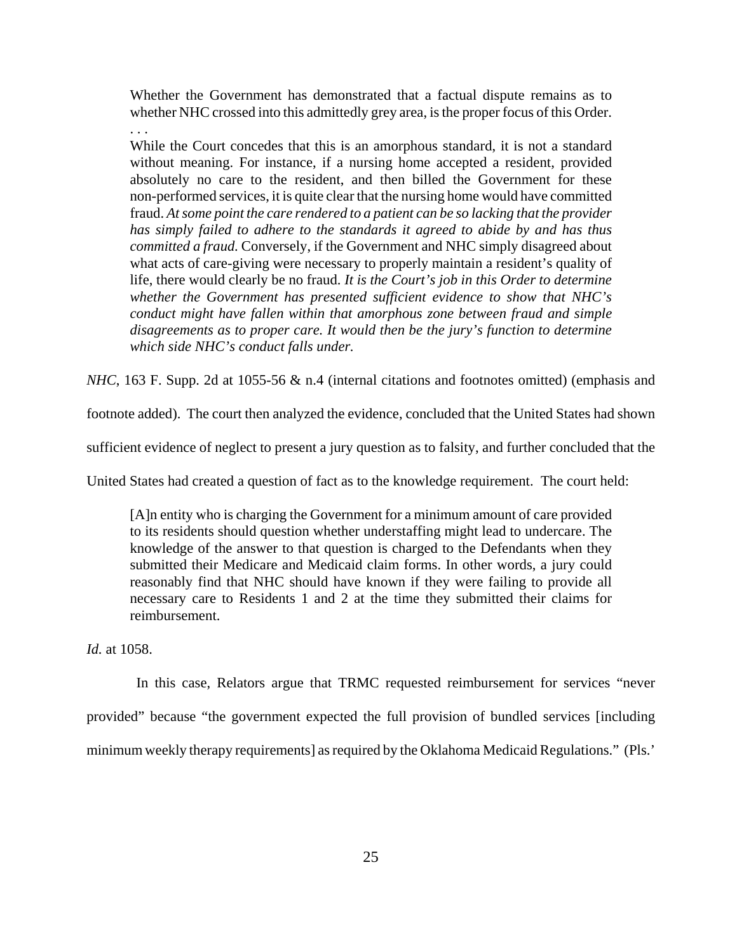Whether the Government has demonstrated that a factual dispute remains as to whether NHC crossed into this admittedly grey area, is the proper focus of this Order.

. . . While the Court concedes that this is an amorphous standard, it is not a standard without meaning. For instance, if a nursing home accepted a resident, provided absolutely no care to the resident, and then billed the Government for these non-performed services, it is quite clear that the nursing home would have committed fraud. *At some point the care rendered to a patient can be so lacking that the provider has simply failed to adhere to the standards it agreed to abide by and has thus committed a fraud.* Conversely, if the Government and NHC simply disagreed about what acts of care-giving were necessary to properly maintain a resident's quality of life, there would clearly be no fraud. *It is the Court's job in this Order to determine whether the Government has presented sufficient evidence to show that NHC's conduct might have fallen within that amorphous zone between fraud and simple disagreements as to proper care. It would then be the jury's function to determine which side NHC's conduct falls under.*

*NHC*, 163 F. Supp. 2d at 1055-56 & n.4 (internal citations and footnotes omitted) (emphasis and

footnote added). The court then analyzed the evidence, concluded that the United States had shown

sufficient evidence of neglect to present a jury question as to falsity, and further concluded that the

United States had created a question of fact as to the knowledge requirement. The court held:

[A]n entity who is charging the Government for a minimum amount of care provided to its residents should question whether understaffing might lead to undercare. The knowledge of the answer to that question is charged to the Defendants when they submitted their Medicare and Medicaid claim forms. In other words, a jury could reasonably find that NHC should have known if they were failing to provide all necessary care to Residents 1 and 2 at the time they submitted their claims for reimbursement.

*Id.* at 1058.

In this case, Relators argue that TRMC requested reimbursement for services "never

provided" because "the government expected the full provision of bundled services [including

minimum weekly therapy requirements] as required by the Oklahoma Medicaid Regulations." (Pls.'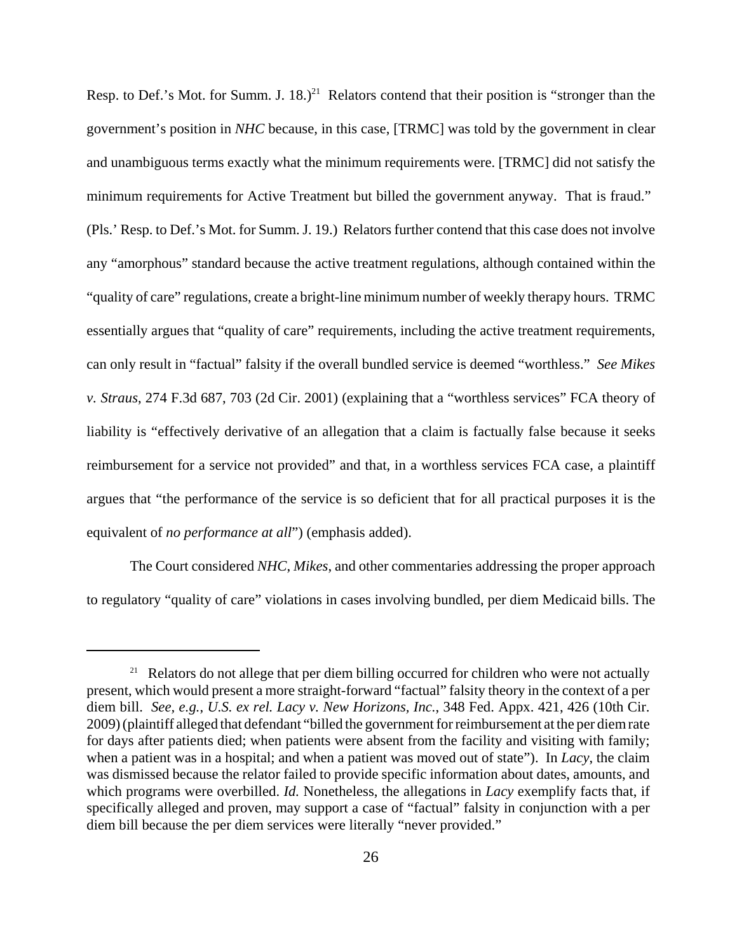Resp. to Def.'s Mot. for Summ. J.  $18.$ )<sup>21</sup> Relators contend that their position is "stronger than the government's position in *NHC* because, in this case, [TRMC] was told by the government in clear and unambiguous terms exactly what the minimum requirements were. [TRMC] did not satisfy the minimum requirements for Active Treatment but billed the government anyway. That is fraud." (Pls.' Resp. to Def.'s Mot. for Summ. J. 19.) Relators further contend that this case does not involve any "amorphous" standard because the active treatment regulations, although contained within the "quality of care" regulations, create a bright-line minimum number of weekly therapy hours. TRMC essentially argues that "quality of care" requirements, including the active treatment requirements, can only result in "factual" falsity if the overall bundled service is deemed "worthless." *See Mikes v. Straus*, 274 F.3d 687, 703 (2d Cir. 2001) (explaining that a "worthless services" FCA theory of liability is "effectively derivative of an allegation that a claim is factually false because it seeks reimbursement for a service not provided" and that, in a worthless services FCA case, a plaintiff argues that "the performance of the service is so deficient that for all practical purposes it is the equivalent of *no performance at all*") (emphasis added).

The Court considered *NHC*, *Mikes*, and other commentaries addressing the proper approach to regulatory "quality of care" violations in cases involving bundled, per diem Medicaid bills. The

<sup>&</sup>lt;sup>21</sup> Relators do not allege that per diem billing occurred for children who were not actually present, which would present a more straight-forward "factual" falsity theory in the context of a per diem bill. *See, e.g.*, *U.S. ex rel. Lacy v. New Horizons, Inc.*, 348 Fed. Appx. 421, 426 (10th Cir. 2009) (plaintiff alleged that defendant "billed the government for reimbursement at the per diem rate for days after patients died; when patients were absent from the facility and visiting with family; when a patient was in a hospital; and when a patient was moved out of state"). In *Lacy*, the claim was dismissed because the relator failed to provide specific information about dates, amounts, and which programs were overbilled. *Id.* Nonetheless, the allegations in *Lacy* exemplify facts that, if specifically alleged and proven, may support a case of "factual" falsity in conjunction with a per diem bill because the per diem services were literally "never provided."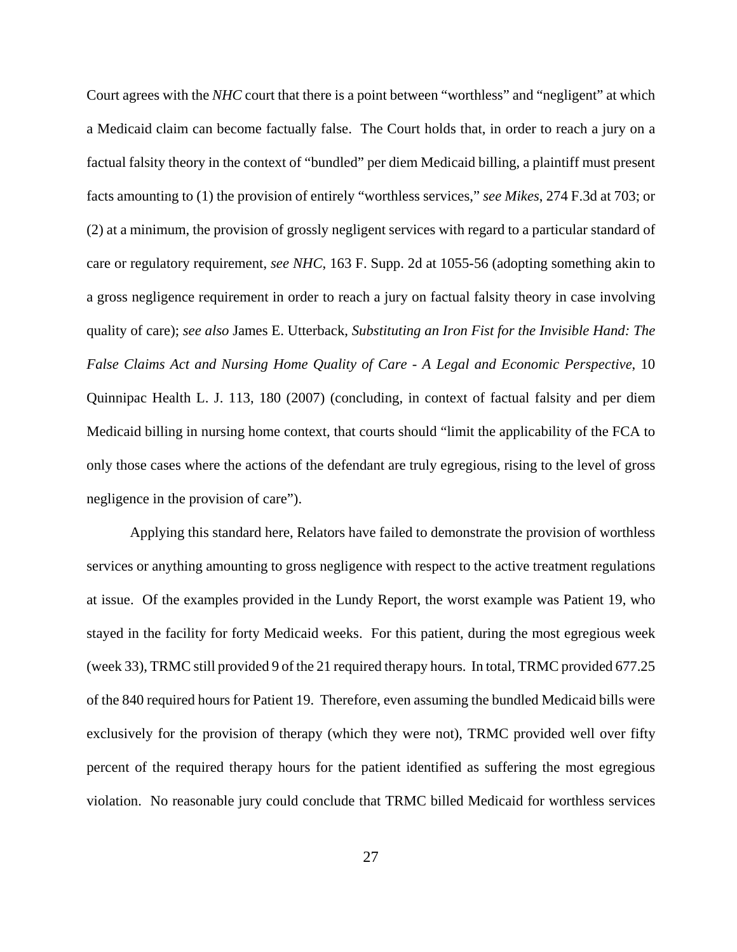Court agrees with the *NHC* court that there is a point between "worthless" and "negligent" at which a Medicaid claim can become factually false. The Court holds that, in order to reach a jury on a factual falsity theory in the context of "bundled" per diem Medicaid billing, a plaintiff must present facts amounting to (1) the provision of entirely "worthless services," *see Mikes*, 274 F.3d at 703; or (2) at a minimum, the provision of grossly negligent services with regard to a particular standard of care or regulatory requirement, *see NHC*, 163 F. Supp. 2d at 1055-56 (adopting something akin to a gross negligence requirement in order to reach a jury on factual falsity theory in case involving quality of care); *see also* James E. Utterback, *Substituting an Iron Fist for the Invisible Hand: The False Claims Act and Nursing Home Quality of Care - A Legal and Economic Perspective*, 10 Quinnipac Health L. J. 113, 180 (2007) (concluding, in context of factual falsity and per diem Medicaid billing in nursing home context, that courts should "limit the applicability of the FCA to only those cases where the actions of the defendant are truly egregious, rising to the level of gross negligence in the provision of care").

Applying this standard here, Relators have failed to demonstrate the provision of worthless services or anything amounting to gross negligence with respect to the active treatment regulations at issue. Of the examples provided in the Lundy Report, the worst example was Patient 19, who stayed in the facility for forty Medicaid weeks. For this patient, during the most egregious week (week 33), TRMC still provided 9 of the 21 required therapy hours. In total, TRMC provided 677.25 of the 840 required hours for Patient 19. Therefore, even assuming the bundled Medicaid bills were exclusively for the provision of therapy (which they were not), TRMC provided well over fifty percent of the required therapy hours for the patient identified as suffering the most egregious violation. No reasonable jury could conclude that TRMC billed Medicaid for worthless services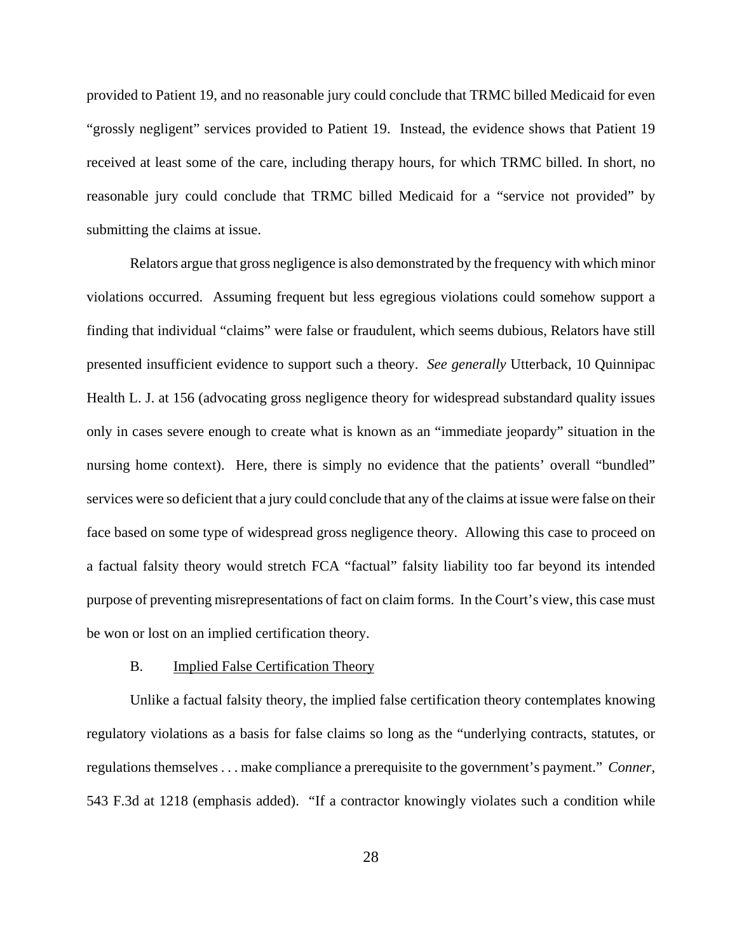provided to Patient 19, and no reasonable jury could conclude that TRMC billed Medicaid for even "grossly negligent" services provided to Patient 19. Instead, the evidence shows that Patient 19 received at least some of the care, including therapy hours, for which TRMC billed. In short, no reasonable jury could conclude that TRMC billed Medicaid for a "service not provided" by submitting the claims at issue.

Relators argue that gross negligence is also demonstrated by the frequency with which minor violations occurred. Assuming frequent but less egregious violations could somehow support a finding that individual "claims" were false or fraudulent, which seems dubious, Relators have still presented insufficient evidence to support such a theory. *See generally* Utterback, 10 Quinnipac Health L. J. at 156 (advocating gross negligence theory for widespread substandard quality issues only in cases severe enough to create what is known as an "immediate jeopardy" situation in the nursing home context). Here, there is simply no evidence that the patients' overall "bundled" services were so deficient that a jury could conclude that any of the claims at issue were false on their face based on some type of widespread gross negligence theory. Allowing this case to proceed on a factual falsity theory would stretch FCA "factual" falsity liability too far beyond its intended purpose of preventing misrepresentations of fact on claim forms. In the Court's view, this case must be won or lost on an implied certification theory.

# B. Implied False Certification Theory

Unlike a factual falsity theory, the implied false certification theory contemplates knowing regulatory violations as a basis for false claims so long as the "underlying contracts, statutes, or regulations themselves . . . make compliance a prerequisite to the government's payment." *Conner*, 543 F.3d at 1218 (emphasis added). "If a contractor knowingly violates such a condition while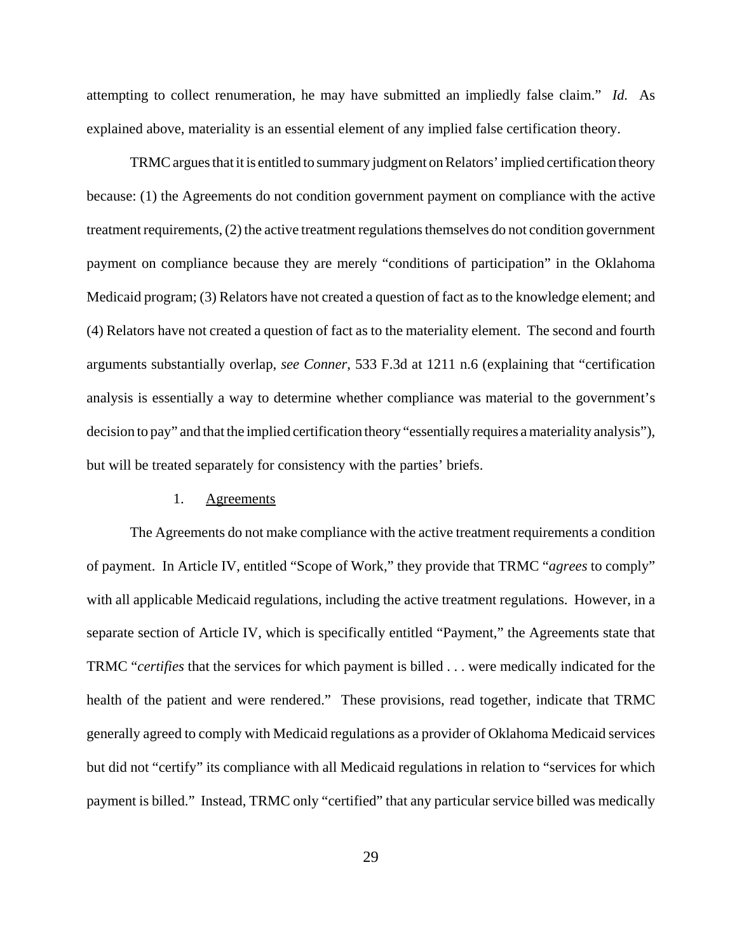attempting to collect renumeration, he may have submitted an impliedly false claim." *Id.* As explained above, materiality is an essential element of any implied false certification theory.

TRMC argues that it is entitled to summary judgment on Relators' implied certification theory because: (1) the Agreements do not condition government payment on compliance with the active treatment requirements, (2) the active treatment regulations themselves do not condition government payment on compliance because they are merely "conditions of participation" in the Oklahoma Medicaid program; (3) Relators have not created a question of fact as to the knowledge element; and (4) Relators have not created a question of fact as to the materiality element. The second and fourth arguments substantially overlap, *see Conner*, 533 F.3d at 1211 n.6 (explaining that "certification analysis is essentially a way to determine whether compliance was material to the government's decision to pay" and that the implied certification theory "essentially requires a materiality analysis"), but will be treated separately for consistency with the parties' briefs.

#### 1. Agreements

The Agreements do not make compliance with the active treatment requirements a condition of payment. In Article IV, entitled "Scope of Work," they provide that TRMC "*agrees* to comply" with all applicable Medicaid regulations, including the active treatment regulations. However, in a separate section of Article IV, which is specifically entitled "Payment," the Agreements state that TRMC "*certifies* that the services for which payment is billed . . . were medically indicated for the health of the patient and were rendered." These provisions, read together, indicate that TRMC generally agreed to comply with Medicaid regulations as a provider of Oklahoma Medicaid services but did not "certify" its compliance with all Medicaid regulations in relation to "services for which payment is billed." Instead, TRMC only "certified" that any particular service billed was medically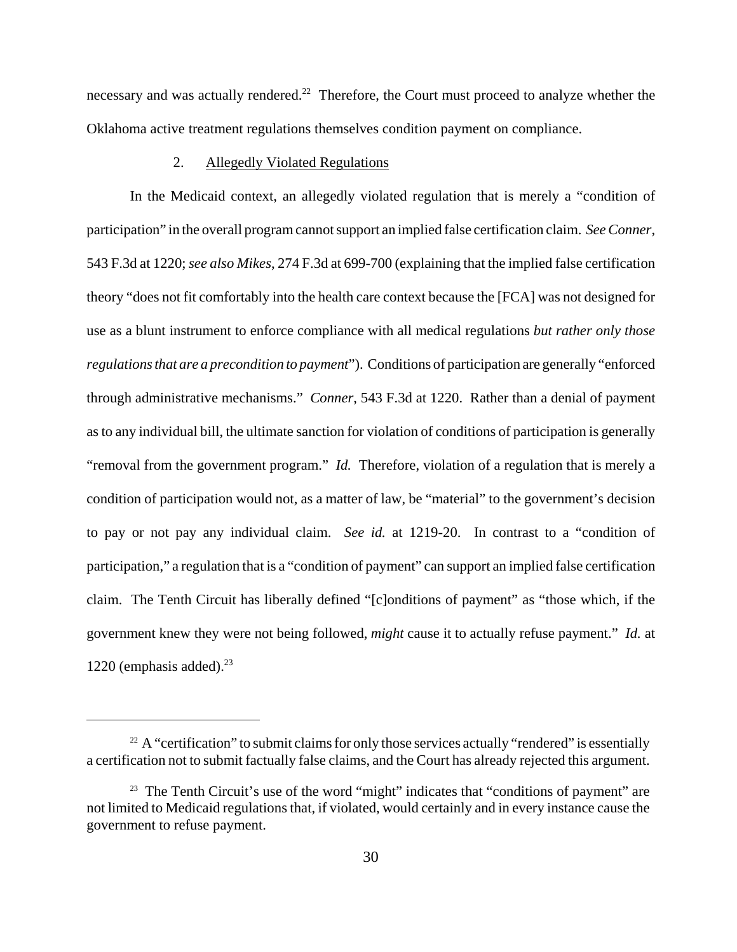necessary and was actually rendered.<sup>22</sup> Therefore, the Court must proceed to analyze whether the Oklahoma active treatment regulations themselves condition payment on compliance.

### 2. Allegedly Violated Regulations

In the Medicaid context, an allegedly violated regulation that is merely a "condition of participation" in the overall program cannot support an implied false certification claim. *See Conner*, 543 F.3d at 1220; *see also Mikes*, 274 F.3d at 699-700 (explaining that the implied false certification theory "does not fit comfortably into the health care context because the [FCA] was not designed for use as a blunt instrument to enforce compliance with all medical regulations *but rather only those regulations that are a precondition to payment*"). Conditions of participation are generally "enforced through administrative mechanisms." *Conner*, 543 F.3d at 1220. Rather than a denial of payment as to any individual bill, the ultimate sanction for violation of conditions of participation is generally "removal from the government program." *Id.* Therefore, violation of a regulation that is merely a condition of participation would not, as a matter of law, be "material" to the government's decision to pay or not pay any individual claim. *See id.* at 1219-20. In contrast to a "condition of participation," a regulation that is a "condition of payment" can support an implied false certification claim. The Tenth Circuit has liberally defined "[c]onditions of payment" as "those which, if the government knew they were not being followed, *might* cause it to actually refuse payment." *Id.* at 1220 (emphasis added). $^{23}$ 

 $22$  A "certification" to submit claims for only those services actually "rendered" is essentially a certification not to submit factually false claims, and the Court has already rejected this argument.

<sup>&</sup>lt;sup>23</sup> The Tenth Circuit's use of the word "might" indicates that "conditions of payment" are not limited to Medicaid regulations that, if violated, would certainly and in every instance cause the government to refuse payment.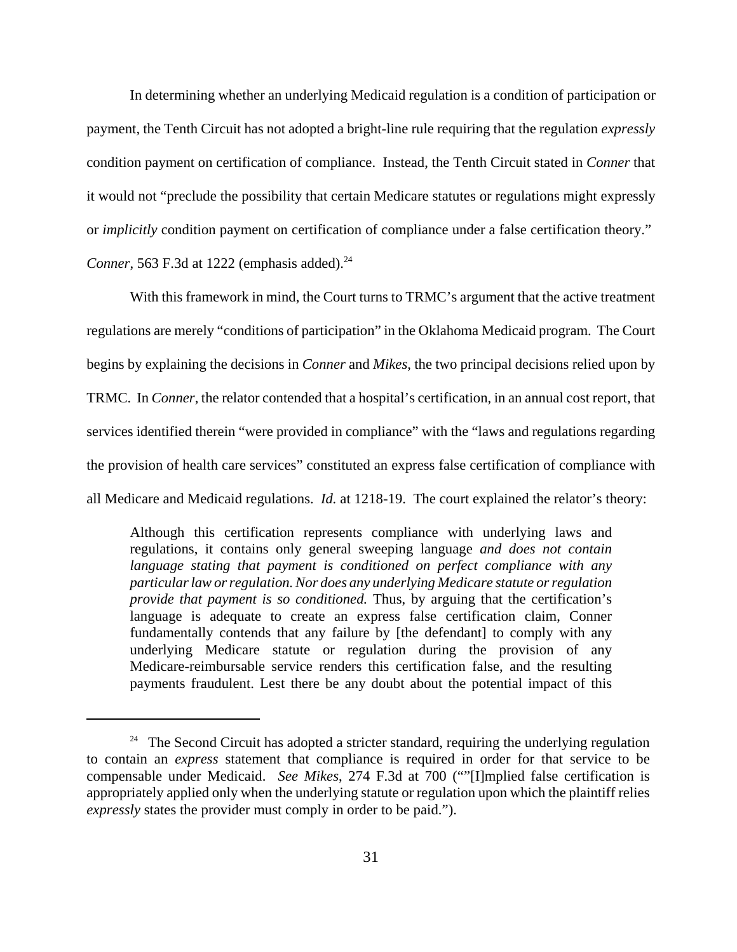In determining whether an underlying Medicaid regulation is a condition of participation or payment, the Tenth Circuit has not adopted a bright-line rule requiring that the regulation *expressly* condition payment on certification of compliance. Instead, the Tenth Circuit stated in *Conner* that it would not "preclude the possibility that certain Medicare statutes or regulations might expressly or *implicitly* condition payment on certification of compliance under a false certification theory." *Conner*, 563 F.3d at 1222 (emphasis added).<sup>24</sup>

With this framework in mind, the Court turns to TRMC's argument that the active treatment regulations are merely "conditions of participation" in the Oklahoma Medicaid program. The Court begins by explaining the decisions in *Conner* and *Mikes*, the two principal decisions relied upon by TRMC. In *Conner*, the relator contended that a hospital's certification, in an annual cost report, that services identified therein "were provided in compliance" with the "laws and regulations regarding the provision of health care services" constituted an express false certification of compliance with all Medicare and Medicaid regulations. *Id.* at 1218-19. The court explained the relator's theory:

Although this certification represents compliance with underlying laws and regulations, it contains only general sweeping language *and does not contain language stating that payment is conditioned on perfect compliance with any particular law or regulation.Nor does any underlying Medicare statute or regulation provide that payment is so conditioned.* Thus, by arguing that the certification's language is adequate to create an express false certification claim, Conner fundamentally contends that any failure by [the defendant] to comply with any underlying Medicare statute or regulation during the provision of any Medicare-reimbursable service renders this certification false, and the resulting payments fraudulent. Lest there be any doubt about the potential impact of this

<sup>&</sup>lt;sup>24</sup> The Second Circuit has adopted a stricter standard, requiring the underlying regulation to contain an *express* statement that compliance is required in order for that service to be compensable under Medicaid. *See Mikes*, 274 F.3d at 700 (""[I]mplied false certification is appropriately applied only when the underlying statute or regulation upon which the plaintiff relies *expressly* states the provider must comply in order to be paid.").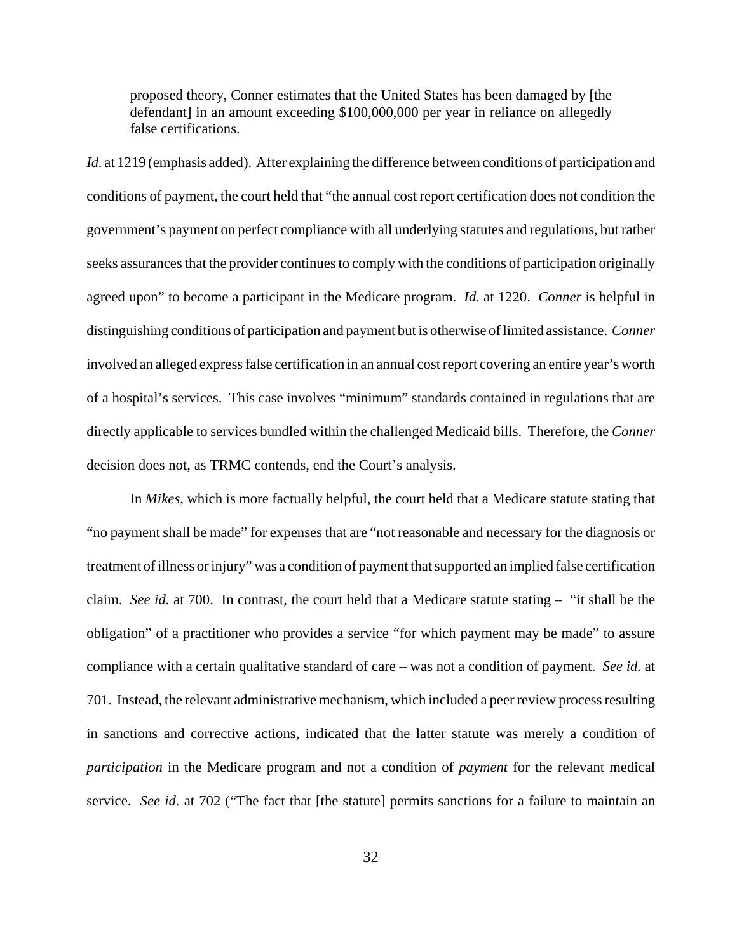proposed theory, Conner estimates that the United States has been damaged by [the defendant] in an amount exceeding \$100,000,000 per year in reliance on allegedly false certifications.

*Id.* at 1219 (emphasis added). After explaining the difference between conditions of participation and conditions of payment, the court held that "the annual cost report certification does not condition the government's payment on perfect compliance with all underlying statutes and regulations, but rather seeks assurances that the provider continues to comply with the conditions of participation originally agreed upon" to become a participant in the Medicare program. *Id.* at 1220. *Conner* is helpful in distinguishing conditions of participation and payment but is otherwise of limited assistance. *Conner* involved an alleged express false certification in an annual cost report covering an entire year's worth of a hospital's services. This case involves "minimum" standards contained in regulations that are directly applicable to services bundled within the challenged Medicaid bills. Therefore, the *Conner* decision does not, as TRMC contends, end the Court's analysis.

In *Mikes*, which is more factually helpful, the court held that a Medicare statute stating that "no payment shall be made" for expenses that are "not reasonable and necessary for the diagnosis or treatment of illness or injury" was a condition of payment that supported an implied false certification claim. *See id.* at 700. In contrast, the court held that a Medicare statute stating – "it shall be the obligation" of a practitioner who provides a service "for which payment may be made" to assure compliance with a certain qualitative standard of care – was not a condition of payment. *See id.* at 701. Instead, the relevant administrative mechanism, which included a peer review process resulting in sanctions and corrective actions, indicated that the latter statute was merely a condition of *participation* in the Medicare program and not a condition of *payment* for the relevant medical service. *See id.* at 702 ("The fact that [the statute] permits sanctions for a failure to maintain an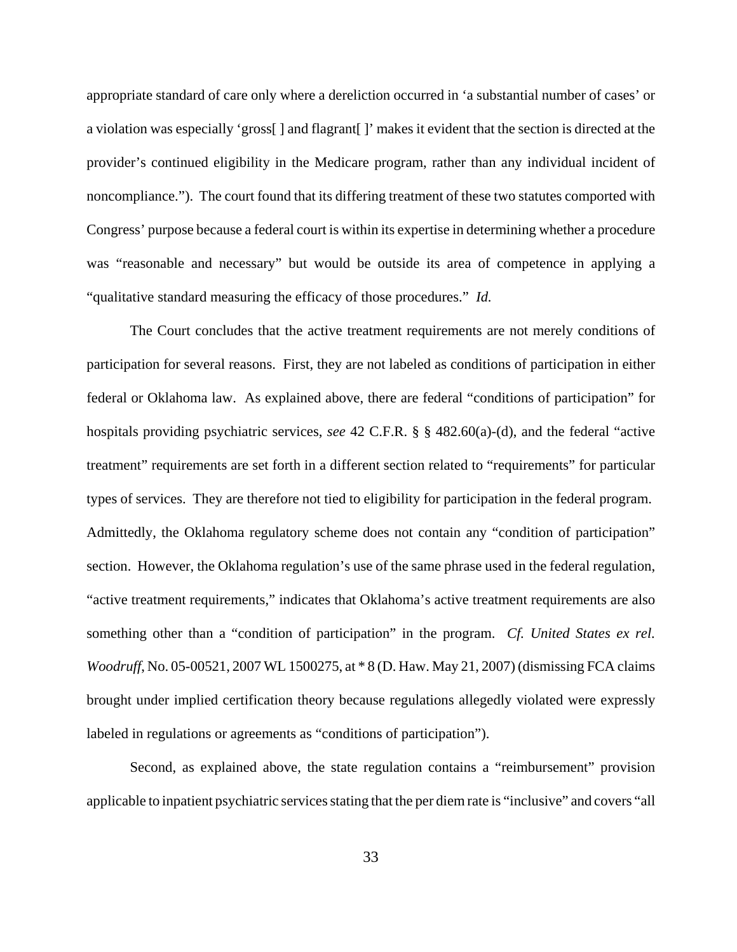appropriate standard of care only where a dereliction occurred in 'a substantial number of cases' or a violation was especially 'gross[ ] and flagrant[ ]' makes it evident that the section is directed at the provider's continued eligibility in the Medicare program, rather than any individual incident of noncompliance."). The court found that its differing treatment of these two statutes comported with Congress' purpose because a federal court is within its expertise in determining whether a procedure was "reasonable and necessary" but would be outside its area of competence in applying a "qualitative standard measuring the efficacy of those procedures." *Id.*

The Court concludes that the active treatment requirements are not merely conditions of participation for several reasons. First, they are not labeled as conditions of participation in either federal or Oklahoma law. As explained above, there are federal "conditions of participation" for hospitals providing psychiatric services, *see* 42 C.F.R. § § 482.60(a)-(d), and the federal "active treatment" requirements are set forth in a different section related to "requirements" for particular types of services. They are therefore not tied to eligibility for participation in the federal program. Admittedly, the Oklahoma regulatory scheme does not contain any "condition of participation" section. However, the Oklahoma regulation's use of the same phrase used in the federal regulation, "active treatment requirements," indicates that Oklahoma's active treatment requirements are also something other than a "condition of participation" in the program. *Cf. United States ex rel. Woodruff*, No. 05-00521, 2007 WL 1500275, at \* 8 (D. Haw. May 21, 2007) (dismissing FCA claims brought under implied certification theory because regulations allegedly violated were expressly labeled in regulations or agreements as "conditions of participation").

Second, as explained above, the state regulation contains a "reimbursement" provision applicable to inpatient psychiatric services stating that the per diem rate is "inclusive" and covers "all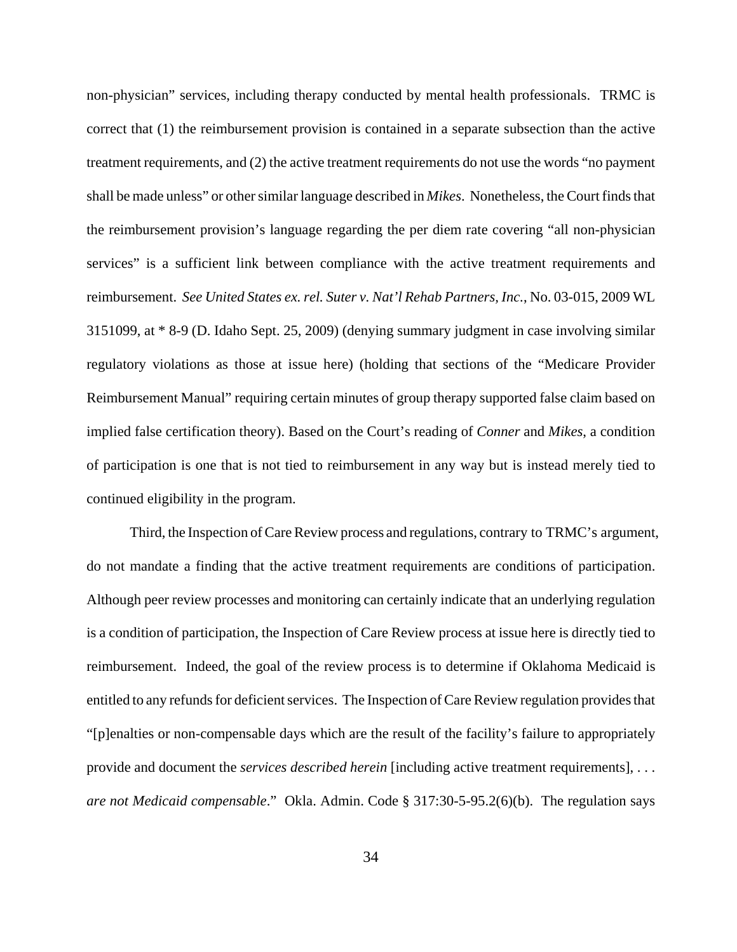non-physician" services, including therapy conducted by mental health professionals. TRMC is correct that (1) the reimbursement provision is contained in a separate subsection than the active treatment requirements, and (2) the active treatment requirements do not use the words "no payment shall be made unless" or other similar language described in *Mikes*. Nonetheless, the Court finds that the reimbursement provision's language regarding the per diem rate covering "all non-physician services" is a sufficient link between compliance with the active treatment requirements and reimbursement. *See United States ex. rel. Suter v. Nat'l Rehab Partners, Inc.*, No. 03-015, 2009 WL 3151099, at \* 8-9 (D. Idaho Sept. 25, 2009) (denying summary judgment in case involving similar regulatory violations as those at issue here) (holding that sections of the "Medicare Provider Reimbursement Manual" requiring certain minutes of group therapy supported false claim based on implied false certification theory). Based on the Court's reading of *Conner* and *Mikes*, a condition of participation is one that is not tied to reimbursement in any way but is instead merely tied to continued eligibility in the program.

 Third, the Inspection of Care Review process and regulations, contrary to TRMC's argument, do not mandate a finding that the active treatment requirements are conditions of participation. Although peer review processes and monitoring can certainly indicate that an underlying regulation is a condition of participation, the Inspection of Care Review process at issue here is directly tied to reimbursement. Indeed, the goal of the review process is to determine if Oklahoma Medicaid is entitled to any refunds for deficient services. The Inspection of Care Review regulation provides that "[p]enalties or non-compensable days which are the result of the facility's failure to appropriately provide and document the *services described herein* [including active treatment requirements], . . . *are not Medicaid compensable*." Okla. Admin. Code § 317:30-5-95.2(6)(b). The regulation says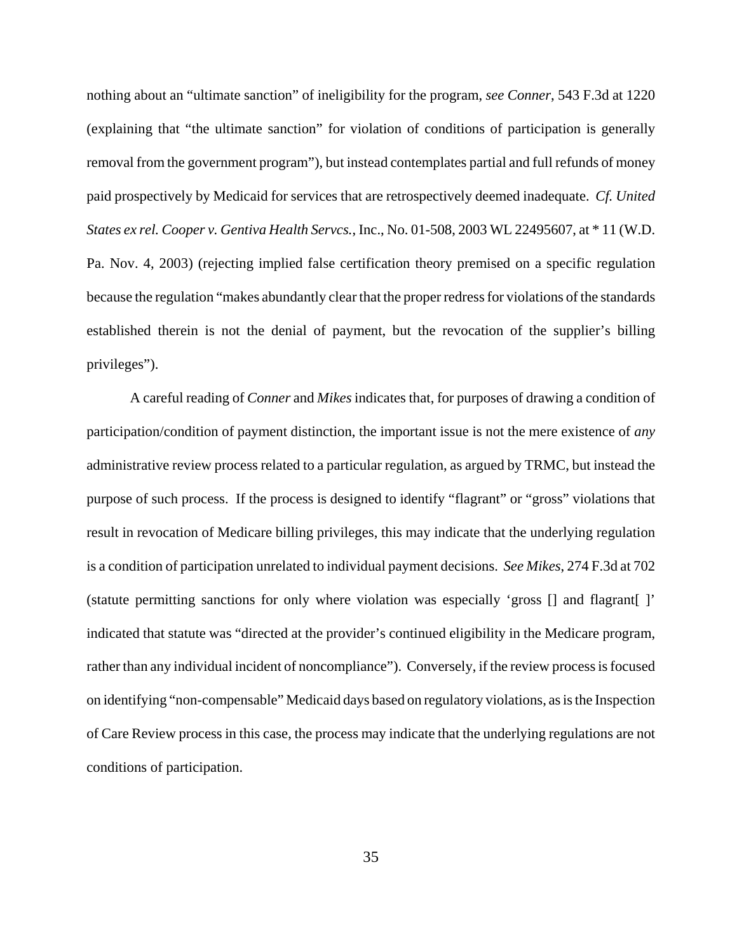nothing about an "ultimate sanction" of ineligibility for the program, *see Conner*, 543 F.3d at 1220 (explaining that "the ultimate sanction" for violation of conditions of participation is generally removal from the government program"), but instead contemplates partial and full refunds of money paid prospectively by Medicaid for services that are retrospectively deemed inadequate. *Cf. United States ex rel. Cooper v. Gentiva Health Servcs.*, Inc., No. 01-508, 2003 WL 22495607, at \* 11 (W.D. Pa. Nov. 4, 2003) (rejecting implied false certification theory premised on a specific regulation because the regulation "makes abundantly clear that the proper redress for violations of the standards established therein is not the denial of payment, but the revocation of the supplier's billing privileges").

A careful reading of *Conner* and *Mikes* indicates that, for purposes of drawing a condition of participation/condition of payment distinction, the important issue is not the mere existence of *any* administrative review process related to a particular regulation, as argued by TRMC, but instead the purpose of such process. If the process is designed to identify "flagrant" or "gross" violations that result in revocation of Medicare billing privileges, this may indicate that the underlying regulation is a condition of participation unrelated to individual payment decisions. *See Mikes*, 274 F.3d at 702 (statute permitting sanctions for only where violation was especially 'gross [] and flagrant[ ]' indicated that statute was "directed at the provider's continued eligibility in the Medicare program, rather than any individual incident of noncompliance"). Conversely, if the review process is focused on identifying "non-compensable" Medicaid days based on regulatory violations, as is the Inspection of Care Review process in this case, the process may indicate that the underlying regulations are not conditions of participation.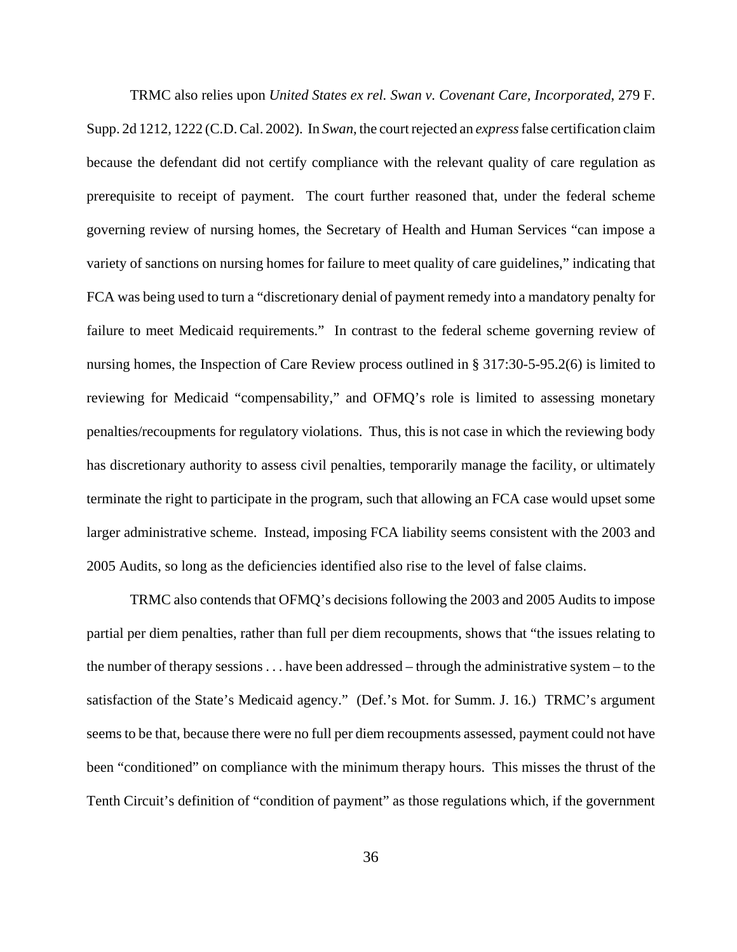TRMC also relies upon *United States ex rel. Swan v. Covenant Care, Incorporated*, 279 F. Supp. 2d 1212, 1222 (C.D. Cal. 2002). In *Swan*, the court rejected an *express* false certification claim because the defendant did not certify compliance with the relevant quality of care regulation as prerequisite to receipt of payment. The court further reasoned that, under the federal scheme governing review of nursing homes, the Secretary of Health and Human Services "can impose a variety of sanctions on nursing homes for failure to meet quality of care guidelines," indicating that FCA was being used to turn a "discretionary denial of payment remedy into a mandatory penalty for failure to meet Medicaid requirements." In contrast to the federal scheme governing review of nursing homes, the Inspection of Care Review process outlined in § 317:30-5-95.2(6) is limited to reviewing for Medicaid "compensability," and OFMQ's role is limited to assessing monetary penalties/recoupments for regulatory violations. Thus, this is not case in which the reviewing body has discretionary authority to assess civil penalties, temporarily manage the facility, or ultimately terminate the right to participate in the program, such that allowing an FCA case would upset some larger administrative scheme. Instead, imposing FCA liability seems consistent with the 2003 and 2005 Audits, so long as the deficiencies identified also rise to the level of false claims.

TRMC also contends that OFMQ's decisions following the 2003 and 2005 Audits to impose partial per diem penalties, rather than full per diem recoupments, shows that "the issues relating to the number of therapy sessions . . . have been addressed – through the administrative system – to the satisfaction of the State's Medicaid agency." (Def.'s Mot. for Summ. J. 16.) TRMC's argument seems to be that, because there were no full per diem recoupments assessed, payment could not have been "conditioned" on compliance with the minimum therapy hours. This misses the thrust of the Tenth Circuit's definition of "condition of payment" as those regulations which, if the government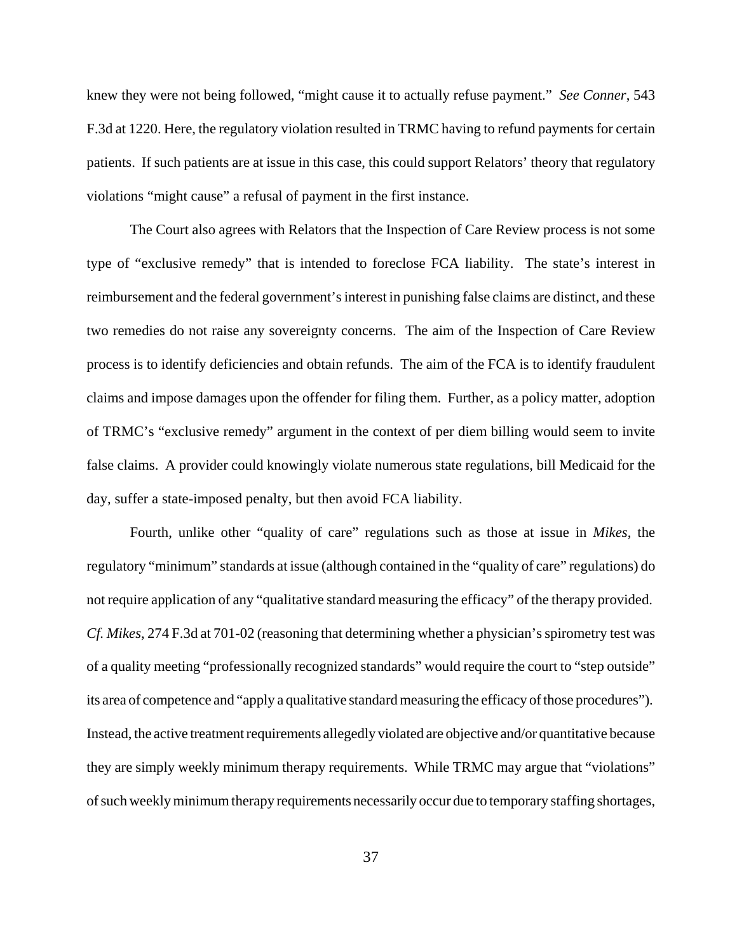knew they were not being followed, "might cause it to actually refuse payment." *See Conner*, 543 F.3d at 1220. Here, the regulatory violation resulted in TRMC having to refund payments for certain patients. If such patients are at issue in this case, this could support Relators' theory that regulatory violations "might cause" a refusal of payment in the first instance.

The Court also agrees with Relators that the Inspection of Care Review process is not some type of "exclusive remedy" that is intended to foreclose FCA liability. The state's interest in reimbursement and the federal government's interest in punishing false claims are distinct, and these two remedies do not raise any sovereignty concerns. The aim of the Inspection of Care Review process is to identify deficiencies and obtain refunds. The aim of the FCA is to identify fraudulent claims and impose damages upon the offender for filing them. Further, as a policy matter, adoption of TRMC's "exclusive remedy" argument in the context of per diem billing would seem to invite false claims. A provider could knowingly violate numerous state regulations, bill Medicaid for the day, suffer a state-imposed penalty, but then avoid FCA liability.

Fourth, unlike other "quality of care" regulations such as those at issue in *Mikes*, the regulatory "minimum" standards at issue (although contained in the "quality of care" regulations) do not require application of any "qualitative standard measuring the efficacy" of the therapy provided. *Cf. Mikes*, 274 F.3d at 701-02 (reasoning that determining whether a physician's spirometry test was of a quality meeting "professionally recognized standards" would require the court to "step outside" its area of competence and "apply a qualitative standard measuring the efficacy of those procedures"). Instead, the active treatment requirements allegedly violated are objective and/or quantitative because they are simply weekly minimum therapy requirements. While TRMC may argue that "violations" of such weekly minimum therapy requirements necessarily occur due to temporary staffing shortages,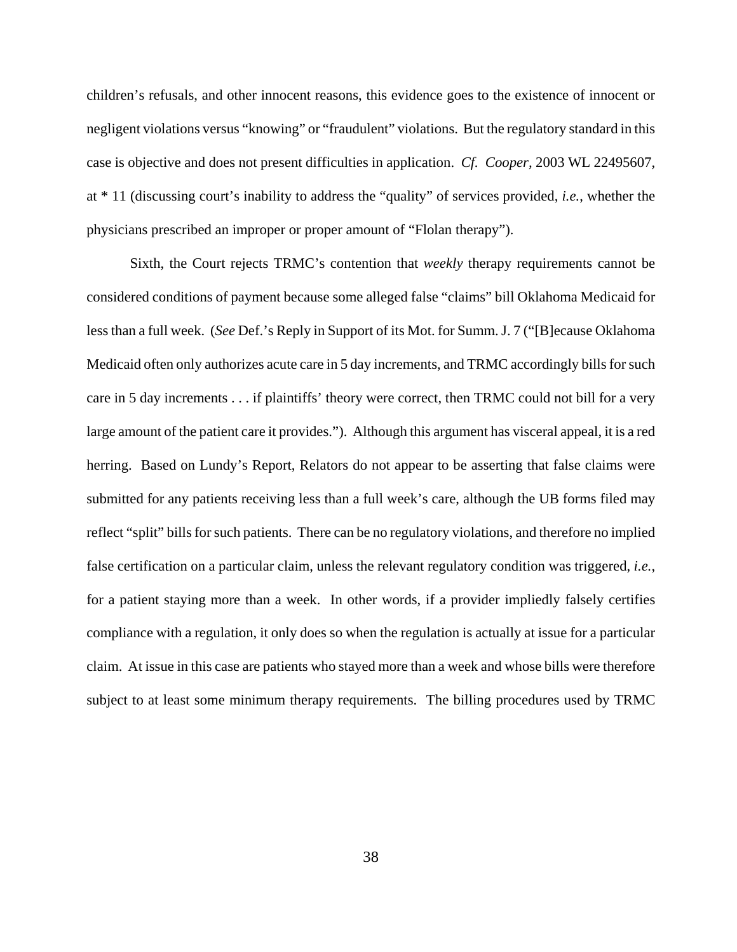children's refusals, and other innocent reasons, this evidence goes to the existence of innocent or negligent violations versus "knowing" or "fraudulent" violations. But the regulatory standard in this case is objective and does not present difficulties in application. *Cf. Cooper,* 2003 WL 22495607, at \* 11 (discussing court's inability to address the "quality" of services provided, *i.e.*, whether the physicians prescribed an improper or proper amount of "Flolan therapy").

Sixth, the Court rejects TRMC's contention that *weekly* therapy requirements cannot be considered conditions of payment because some alleged false "claims" bill Oklahoma Medicaid for less than a full week. (*See* Def.'s Reply in Support of its Mot. for Summ. J. 7 ("[B]ecause Oklahoma Medicaid often only authorizes acute care in 5 day increments, and TRMC accordingly bills for such care in 5 day increments . . . if plaintiffs' theory were correct, then TRMC could not bill for a very large amount of the patient care it provides."). Although this argument has visceral appeal, it is a red herring. Based on Lundy's Report, Relators do not appear to be asserting that false claims were submitted for any patients receiving less than a full week's care, although the UB forms filed may reflect "split" bills for such patients. There can be no regulatory violations, and therefore no implied false certification on a particular claim, unless the relevant regulatory condition was triggered, *i.e.*, for a patient staying more than a week. In other words, if a provider impliedly falsely certifies compliance with a regulation, it only does so when the regulation is actually at issue for a particular claim. At issue in this case are patients who stayed more than a week and whose bills were therefore subject to at least some minimum therapy requirements. The billing procedures used by TRMC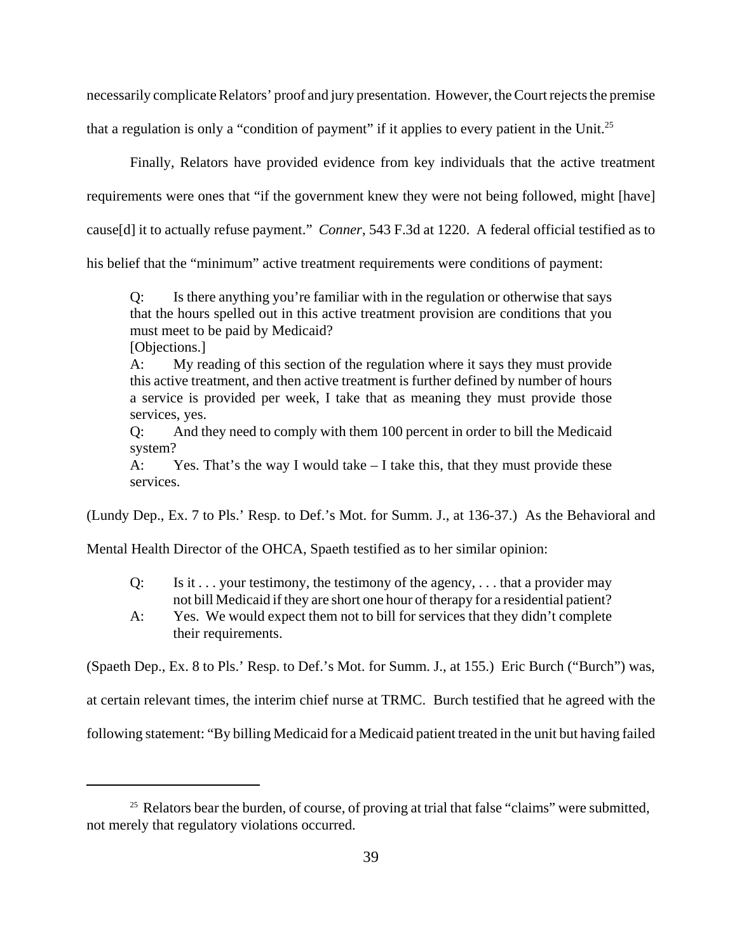necessarily complicate Relators' proof and jury presentation. However, the Court rejects the premise that a regulation is only a "condition of payment" if it applies to every patient in the Unit.<sup>25</sup>

Finally, Relators have provided evidence from key individuals that the active treatment

requirements were ones that "if the government knew they were not being followed, might [have]

cause[d] it to actually refuse payment." *Conner*, 543 F.3d at 1220. A federal official testified as to

his belief that the "minimum" active treatment requirements were conditions of payment:

Q: Is there anything you're familiar with in the regulation or otherwise that says that the hours spelled out in this active treatment provision are conditions that you must meet to be paid by Medicaid?

[Objections.]

A: My reading of this section of the regulation where it says they must provide this active treatment, and then active treatment is further defined by number of hours a service is provided per week, I take that as meaning they must provide those services, yes.

Q: And they need to comply with them 100 percent in order to bill the Medicaid system?

A: Yes. That's the way I would take  $-I$  take this, that they must provide these services.

(Lundy Dep., Ex. 7 to Pls.' Resp. to Def.'s Mot. for Summ. J., at 136-37.) As the Behavioral and

Mental Health Director of the OHCA, Spaeth testified as to her similar opinion:

- Q: Is it  $\ldots$  your testimony, the testimony of the agency,  $\ldots$  that a provider may not bill Medicaid if they are short one hour of therapy for a residential patient?
- A: Yes. We would expect them not to bill for services that they didn't complete their requirements.

(Spaeth Dep., Ex. 8 to Pls.' Resp. to Def.'s Mot. for Summ. J., at 155.) Eric Burch ("Burch") was,

at certain relevant times, the interim chief nurse at TRMC. Burch testified that he agreed with the

following statement: "By billing Medicaid for a Medicaid patient treated in the unit but having failed

<sup>&</sup>lt;sup>25</sup> Relators bear the burden, of course, of proving at trial that false "claims" were submitted, not merely that regulatory violations occurred.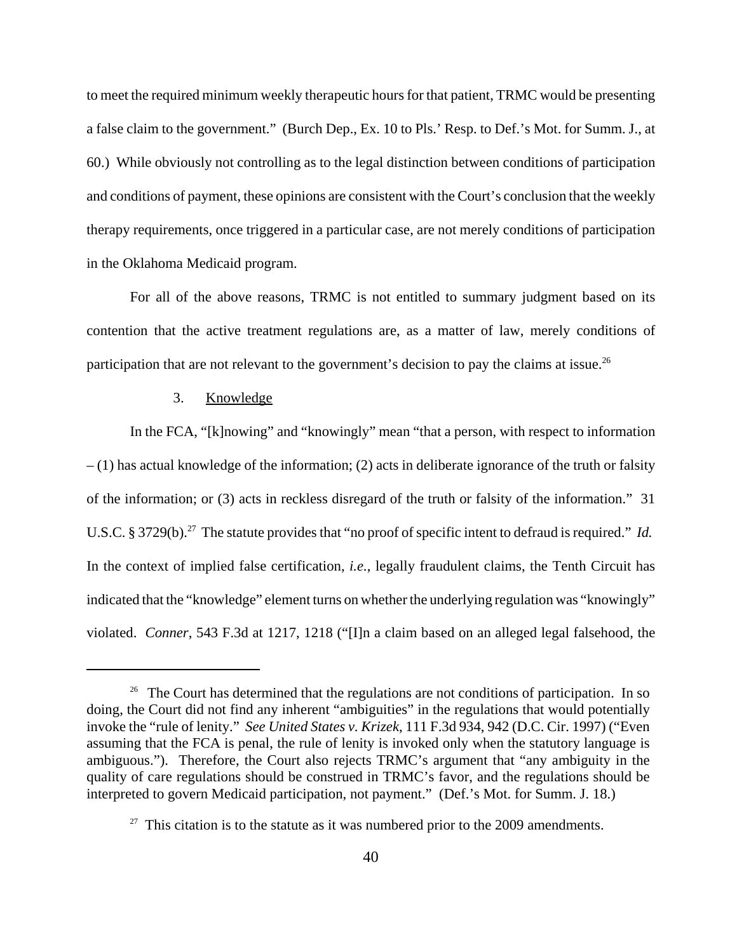to meet the required minimum weekly therapeutic hours for that patient, TRMC would be presenting a false claim to the government." (Burch Dep., Ex. 10 to Pls.' Resp. to Def.'s Mot. for Summ. J., at 60.) While obviously not controlling as to the legal distinction between conditions of participation and conditions of payment, these opinions are consistent with the Court's conclusion that the weekly therapy requirements, once triggered in a particular case, are not merely conditions of participation in the Oklahoma Medicaid program.

For all of the above reasons, TRMC is not entitled to summary judgment based on its contention that the active treatment regulations are, as a matter of law, merely conditions of participation that are not relevant to the government's decision to pay the claims at issue.<sup>26</sup>

# 3. Knowledge

In the FCA, "[k]nowing" and "knowingly" mean "that a person, with respect to information – (1) has actual knowledge of the information; (2) acts in deliberate ignorance of the truth or falsity of the information; or (3) acts in reckless disregard of the truth or falsity of the information." 31 U.S.C. § 3729(b).<sup>27</sup> The statute provides that "no proof of specific intent to defraud is required." *Id.* In the context of implied false certification, *i.e.*, legally fraudulent claims, the Tenth Circuit has indicated that the "knowledge" element turns on whether the underlying regulation was "knowingly" violated. *Conner*, 543 F.3d at 1217, 1218 ("[I]n a claim based on an alleged legal falsehood, the

<sup>&</sup>lt;sup>26</sup> The Court has determined that the regulations are not conditions of participation. In so doing, the Court did not find any inherent "ambiguities" in the regulations that would potentially invoke the "rule of lenity." *See United States v. Krizek*, 111 F.3d 934, 942 (D.C. Cir. 1997) ("Even assuming that the FCA is penal, the rule of lenity is invoked only when the statutory language is ambiguous."). Therefore, the Court also rejects TRMC's argument that "any ambiguity in the quality of care regulations should be construed in TRMC's favor, and the regulations should be interpreted to govern Medicaid participation, not payment." (Def.'s Mot. for Summ. J. 18.)

 $27$  This citation is to the statute as it was numbered prior to the 2009 amendments.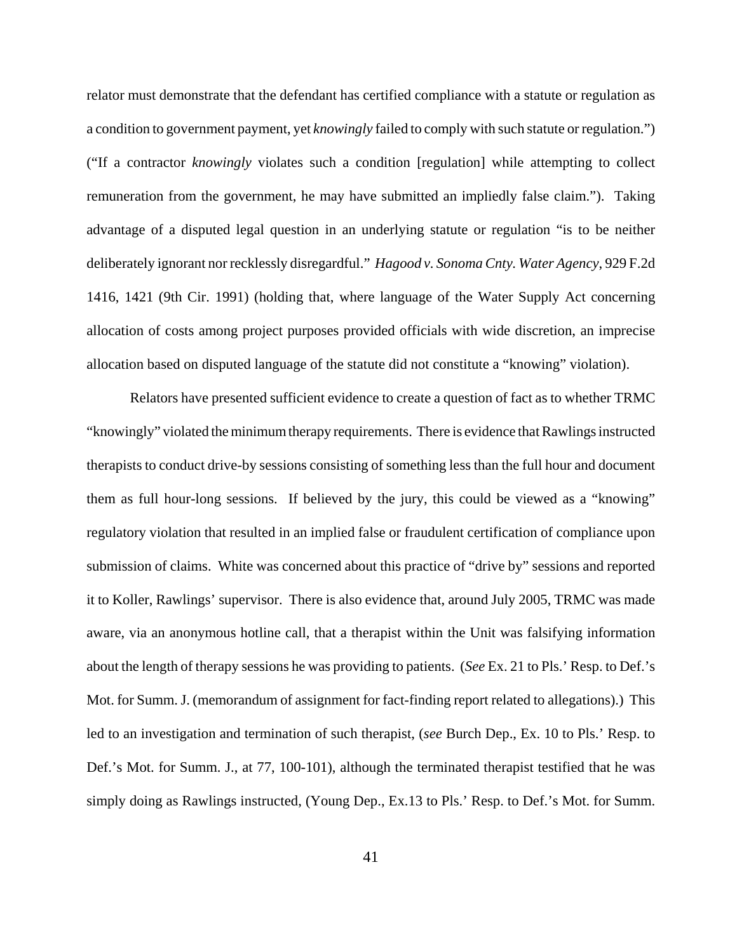relator must demonstrate that the defendant has certified compliance with a statute or regulation as a condition to government payment, yet *knowingly* failed to comply with such statute or regulation.") ("If a contractor *knowingly* violates such a condition [regulation] while attempting to collect remuneration from the government, he may have submitted an impliedly false claim."). Taking advantage of a disputed legal question in an underlying statute or regulation "is to be neither deliberately ignorant nor recklessly disregardful." *Hagood v. Sonoma Cnty. Water Agency*, 929 F.2d 1416, 1421 (9th Cir. 1991) (holding that, where language of the Water Supply Act concerning allocation of costs among project purposes provided officials with wide discretion, an imprecise allocation based on disputed language of the statute did not constitute a "knowing" violation).

Relators have presented sufficient evidence to create a question of fact as to whether TRMC "knowingly" violated the minimum therapy requirements. There is evidence that Rawlings instructed therapists to conduct drive-by sessions consisting of something less than the full hour and document them as full hour-long sessions. If believed by the jury, this could be viewed as a "knowing" regulatory violation that resulted in an implied false or fraudulent certification of compliance upon submission of claims. White was concerned about this practice of "drive by" sessions and reported it to Koller, Rawlings' supervisor. There is also evidence that, around July 2005, TRMC was made aware, via an anonymous hotline call, that a therapist within the Unit was falsifying information about the length of therapy sessions he was providing to patients. (*See* Ex. 21 to Pls.' Resp. to Def.'s Mot. for Summ. J. (memorandum of assignment for fact-finding report related to allegations).) This led to an investigation and termination of such therapist, (*see* Burch Dep., Ex. 10 to Pls.' Resp. to Def.'s Mot. for Summ. J., at 77, 100-101), although the terminated therapist testified that he was simply doing as Rawlings instructed, (Young Dep., Ex.13 to Pls.' Resp. to Def.'s Mot. for Summ.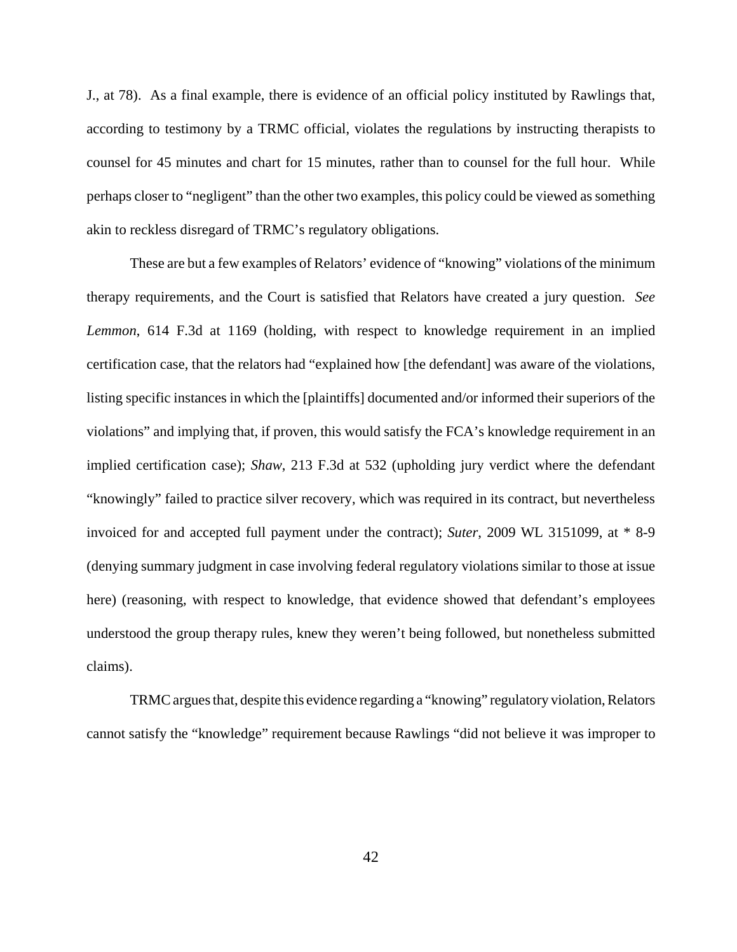J., at 78). As a final example, there is evidence of an official policy instituted by Rawlings that, according to testimony by a TRMC official, violates the regulations by instructing therapists to counsel for 45 minutes and chart for 15 minutes, rather than to counsel for the full hour. While perhaps closer to "negligent" than the other two examples, this policy could be viewed as something akin to reckless disregard of TRMC's regulatory obligations.

These are but a few examples of Relators' evidence of "knowing" violations of the minimum therapy requirements, and the Court is satisfied that Relators have created a jury question. *See Lemmon*, 614 F.3d at 1169 (holding, with respect to knowledge requirement in an implied certification case, that the relators had "explained how [the defendant] was aware of the violations, listing specific instances in which the [plaintiffs] documented and/or informed their superiors of the violations" and implying that, if proven, this would satisfy the FCA's knowledge requirement in an implied certification case); *Shaw*, 213 F.3d at 532 (upholding jury verdict where the defendant "knowingly" failed to practice silver recovery, which was required in its contract, but nevertheless invoiced for and accepted full payment under the contract); *Suter*, 2009 WL 3151099, at \* 8-9 (denying summary judgment in case involving federal regulatory violations similar to those at issue here) (reasoning, with respect to knowledge, that evidence showed that defendant's employees understood the group therapy rules, knew they weren't being followed, but nonetheless submitted claims).

TRMC argues that, despite this evidence regarding a "knowing" regulatory violation, Relators cannot satisfy the "knowledge" requirement because Rawlings "did not believe it was improper to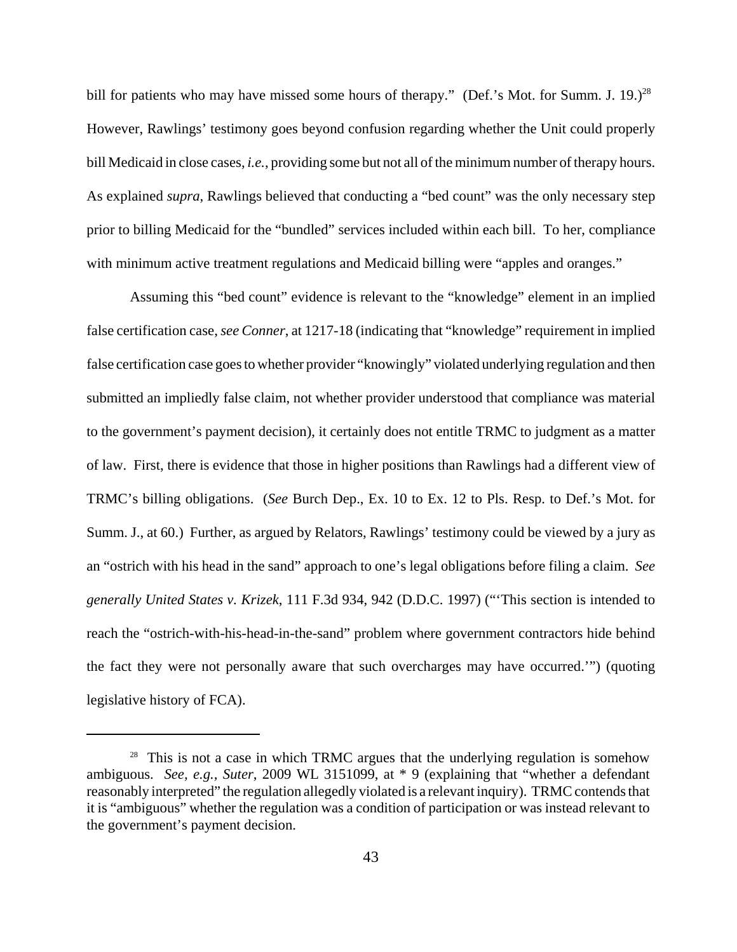bill for patients who may have missed some hours of therapy." (Def.'s Mot. for Summ. J. 19.)<sup>28</sup> However, Rawlings' testimony goes beyond confusion regarding whether the Unit could properly bill Medicaid in close cases, *i.e.*, providing some but not all of the minimum number of therapy hours. As explained *supra*, Rawlings believed that conducting a "bed count" was the only necessary step prior to billing Medicaid for the "bundled" services included within each bill. To her, compliance with minimum active treatment regulations and Medicaid billing were "apples and oranges."

Assuming this "bed count" evidence is relevant to the "knowledge" element in an implied false certification case, *see Conner*, at 1217-18 (indicating that "knowledge" requirement in implied false certification case goes to whether provider "knowingly" violated underlying regulation and then submitted an impliedly false claim, not whether provider understood that compliance was material to the government's payment decision), it certainly does not entitle TRMC to judgment as a matter of law. First, there is evidence that those in higher positions than Rawlings had a different view of TRMC's billing obligations. (*See* Burch Dep., Ex. 10 to Ex. 12 to Pls. Resp. to Def.'s Mot. for Summ. J., at 60.) Further, as argued by Relators, Rawlings' testimony could be viewed by a jury as an "ostrich with his head in the sand" approach to one's legal obligations before filing a claim. *See generally United States v. Krizek*, 111 F.3d 934, 942 (D.D.C. 1997) ("'This section is intended to reach the "ostrich-with-his-head-in-the-sand" problem where government contractors hide behind the fact they were not personally aware that such overcharges may have occurred.'") (quoting legislative history of FCA).

 $28$  This is not a case in which TRMC argues that the underlying regulation is somehow ambiguous. *See, e.g., Suter*, 2009 WL 3151099, at \* 9 (explaining that "whether a defendant reasonably interpreted" the regulation allegedly violated is a relevant inquiry). TRMC contends that it is "ambiguous" whether the regulation was a condition of participation or was instead relevant to the government's payment decision.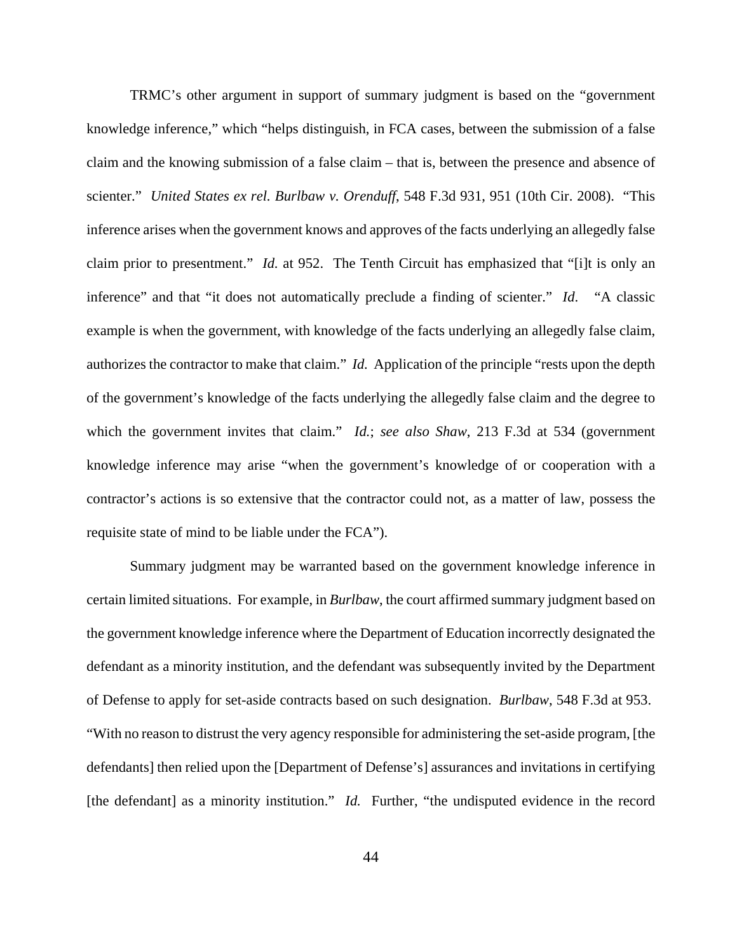TRMC's other argument in support of summary judgment is based on the "government knowledge inference," which "helps distinguish, in FCA cases, between the submission of a false claim and the knowing submission of a false claim – that is, between the presence and absence of scienter." *United States ex rel. Burlbaw v. Orenduff*, 548 F.3d 931, 951 (10th Cir. 2008). "This inference arises when the government knows and approves of the facts underlying an allegedly false claim prior to presentment." *Id.* at 952. The Tenth Circuit has emphasized that "[i]t is only an inference" and that "it does not automatically preclude a finding of scienter." *Id*. "A classic example is when the government, with knowledge of the facts underlying an allegedly false claim, authorizes the contractor to make that claim." *Id.* Application of the principle "rests upon the depth of the government's knowledge of the facts underlying the allegedly false claim and the degree to which the government invites that claim." *Id.*; *see also Shaw*, 213 F.3d at 534 (government knowledge inference may arise "when the government's knowledge of or cooperation with a contractor's actions is so extensive that the contractor could not, as a matter of law, possess the requisite state of mind to be liable under the FCA").

Summary judgment may be warranted based on the government knowledge inference in certain limited situations. For example, in *Burlbaw*, the court affirmed summary judgment based on the government knowledge inference where the Department of Education incorrectly designated the defendant as a minority institution, and the defendant was subsequently invited by the Department of Defense to apply for set-aside contracts based on such designation. *Burlbaw*, 548 F.3d at 953. "With no reason to distrust the very agency responsible for administering the set-aside program, [the defendants] then relied upon the [Department of Defense's] assurances and invitations in certifying [the defendant] as a minority institution." *Id.* Further, "the undisputed evidence in the record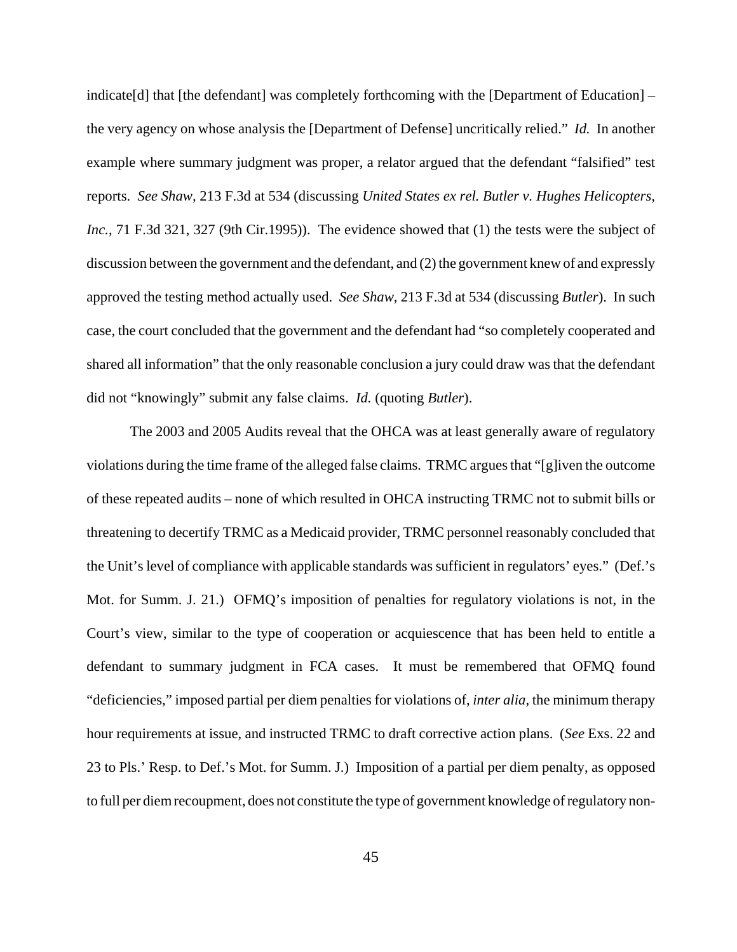indicate[d] that [the defendant] was completely forthcoming with the [Department of Education] – the very agency on whose analysis the [Department of Defense] uncritically relied." *Id.* In another example where summary judgment was proper, a relator argued that the defendant "falsified" test reports. *See Shaw,* 213 F.3d at 534 (discussing *United States ex rel. Butler v. Hughes Helicopters, Inc.*, 71 F.3d 321, 327 (9th Cir.1995)). The evidence showed that (1) the tests were the subject of discussion between the government and the defendant, and (2) the government knew of and expressly approved the testing method actually used. *See Shaw,* 213 F.3d at 534 (discussing *Butler*). In such case, the court concluded that the government and the defendant had "so completely cooperated and shared all information" that the only reasonable conclusion a jury could draw was that the defendant did not "knowingly" submit any false claims. *Id.* (quoting *Butler*).

The 2003 and 2005 Audits reveal that the OHCA was at least generally aware of regulatory violations during the time frame of the alleged false claims. TRMC argues that "[g]iven the outcome of these repeated audits – none of which resulted in OHCA instructing TRMC not to submit bills or threatening to decertify TRMC as a Medicaid provider, TRMC personnel reasonably concluded that the Unit's level of compliance with applicable standards was sufficient in regulators' eyes." (Def.'s Mot. for Summ. J. 21.) OFMQ's imposition of penalties for regulatory violations is not, in the Court's view, similar to the type of cooperation or acquiescence that has been held to entitle a defendant to summary judgment in FCA cases. It must be remembered that OFMQ found "deficiencies," imposed partial per diem penalties for violations of, *inter alia*, the minimum therapy hour requirements at issue, and instructed TRMC to draft corrective action plans. (*See* Exs. 22 and 23 to Pls.' Resp. to Def.'s Mot. for Summ. J.) Imposition of a partial per diem penalty, as opposed to full per diem recoupment, does not constitute the type of government knowledge of regulatory non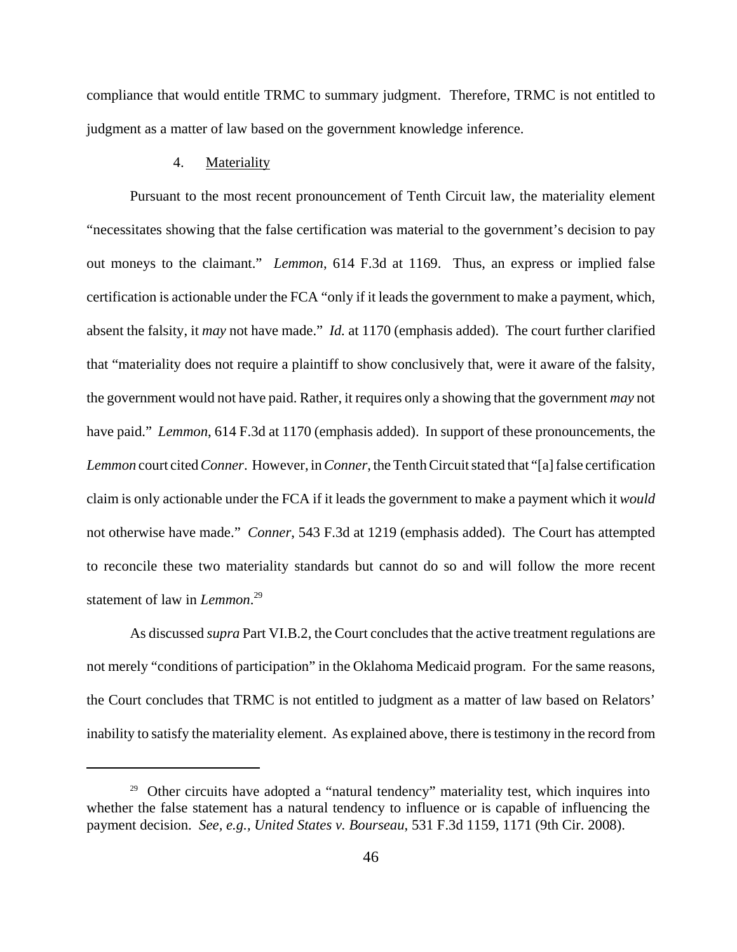compliance that would entitle TRMC to summary judgment. Therefore, TRMC is not entitled to judgment as a matter of law based on the government knowledge inference.

## 4. Materiality

Pursuant to the most recent pronouncement of Tenth Circuit law, the materiality element "necessitates showing that the false certification was material to the government's decision to pay out moneys to the claimant." *Lemmon*, 614 F.3d at 1169. Thus, an express or implied false certification is actionable under the FCA "only if it leads the government to make a payment, which, absent the falsity, it *may* not have made." *Id.* at 1170 (emphasis added). The court further clarified that "materiality does not require a plaintiff to show conclusively that, were it aware of the falsity, the government would not have paid. Rather, it requires only a showing that the government *may* not have paid." *Lemmon*, 614 F.3d at 1170 (emphasis added). In support of these pronouncements, the *Lemmon* court cited *Conner*. However, in *Conner*, the Tenth Circuit stated that "[a] false certification claim is only actionable under the FCA if it leads the government to make a payment which it *would* not otherwise have made." *Conner*, 543 F.3d at 1219 (emphasis added). The Court has attempted to reconcile these two materiality standards but cannot do so and will follow the more recent statement of law in *Lemmon*. 29

As discussed *supra* Part VI.B.2, the Court concludes that the active treatment regulations are not merely "conditions of participation" in the Oklahoma Medicaid program. For the same reasons, the Court concludes that TRMC is not entitled to judgment as a matter of law based on Relators' inability to satisfy the materiality element. As explained above, there is testimony in the record from

<sup>&</sup>lt;sup>29</sup> Other circuits have adopted a "natural tendency" materiality test, which inquires into whether the false statement has a natural tendency to influence or is capable of influencing the payment decision. *See, e.g., United States v. Bourseau*, 531 F.3d 1159, 1171 (9th Cir. 2008).